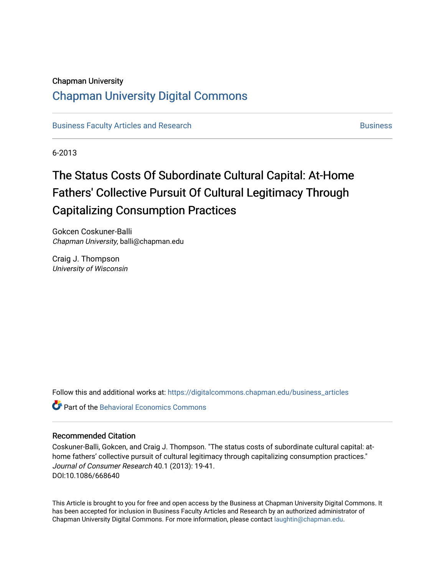# Chapman University

# [Chapman University Digital Commons](https://digitalcommons.chapman.edu/)

[Business Faculty Articles and Research](https://digitalcommons.chapman.edu/business_articles) [Business](https://digitalcommons.chapman.edu/business) **Business** Business

6-2013

# The Status Costs Of Subordinate Cultural Capital: At-Home Fathers' Collective Pursuit Of Cultural Legitimacy Through Capitalizing Consumption Practices

Gokcen Coskuner-Balli Chapman University, balli@chapman.edu

Craig J. Thompson University of Wisconsin

Follow this and additional works at: [https://digitalcommons.chapman.edu/business\\_articles](https://digitalcommons.chapman.edu/business_articles?utm_source=digitalcommons.chapman.edu%2Fbusiness_articles%2F11&utm_medium=PDF&utm_campaign=PDFCoverPages) 

**C** Part of the Behavioral Economics Commons

# Recommended Citation

Coskuner-Balli, Gokcen, and Craig J. Thompson. "The status costs of subordinate cultural capital: athome fathers' collective pursuit of cultural legitimacy through capitalizing consumption practices." Journal of Consumer Research 40.1 (2013): 19-41. DOI:10.1086/668640

This Article is brought to you for free and open access by the Business at Chapman University Digital Commons. It has been accepted for inclusion in Business Faculty Articles and Research by an authorized administrator of Chapman University Digital Commons. For more information, please contact [laughtin@chapman.edu](mailto:laughtin@chapman.edu).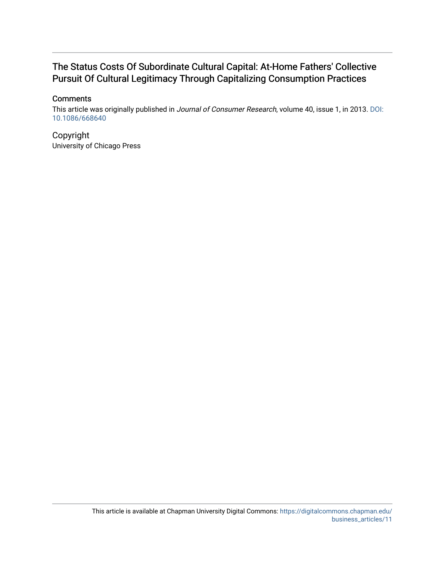# The Status Costs Of Subordinate Cultural Capital: At-Home Fathers' Collective Pursuit Of Cultural Legitimacy Through Capitalizing Consumption Practices

# **Comments**

This article was originally published in Journal of Consumer Research, volume 40, issue 1, in 2013. [DOI:](http://dx.doi.org/10.1086/668640)  [10.1086/668640](http://dx.doi.org/10.1086/668640)

Copyright University of Chicago Press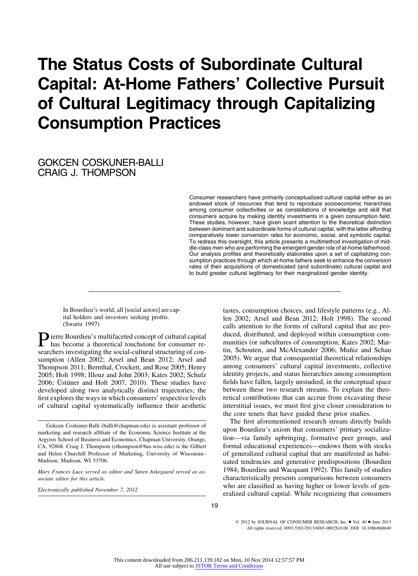# **The Status Costs of Subordinate Cultural Capital: At-Home Fathers' Collective Pursuit of Cultural Legitimacy through Capitalizing Consumption Practices**

# GOKCEN COSKUNER-BALLI CRAIG J. THOMPSON

Consumer researchers have primarily conceptualized cultural capital either as an endowed stock of resources that tend to reproduce socioeconomic hierarchies among consumer collectivities or as constellations of knowledge and skill that consumers acquire by making identity investments in a given consumption field. These studies, however, have given scant attention to the theoretical distinction between dominant and subordinate forms of cultural capital, with the latter affording comparatively lower conversion rates for economic, social, and symbolic capital. To redress this oversight, this article presents a multimethod investigation of middle-class men who are performing the emergent gender role of at-home fatherhood. Our analysis profiles and theoretically elaborates upon a set of capitalizing consumption practices through which at-home fathers seek to enhance the conversion rates of their acquisitions of domesticated (and subordinate) cultural capital and to build greater cultural legitimacy for their marginalized gender identity.

In Bourdieu's world, all [social actors] are capital holders and investors seeking profits. (Swartz 1997)

**P**ierre Bourdieu's multifaceted concept of cultural capital<br>has become a theoretical touchstone for consumer researchers investigating the social-cultural structuring of consumption (Allen 2002; Arsel and Bean 2012; Arsel and Thompson 2011; Bernthal, Crockett, and Rose 2005; Henry 2005; Holt 1998; Illouz and John 2003; Kates 2002; Schulz 2006; Üstüner and Holt 2007, 2010). These studies have developed along two analytically distinct trajectories; the first explores the ways in which consumers' respective levels of cultural capital systematically influence their aesthetic

*Mary Frances Luce served as editor and Søren Askegaard served as associate editor for this article.*

*Electronically published November 7, 2012*

tastes, consumption choices, and lifestyle patterns (e.g., Allen 2002; Arsel and Bean 2012; Holt 1998). The second calls attention to the forms of cultural capital that are produced, distributed, and deployed within consumption communities (or subcultures of consumption; Kates 2002; Martin, Schouten, and McAlexander 2006; Muñiz and Schau 2005). We argue that consequential theoretical relationships among consumers' cultural capital investments, collective identity projects, and status hierarchies among consumption fields have fallen, largely unstudied, in the conceptual space between these two research streams. To explain the theoretical contributions that can accrue from excavating these interstitial issues, we must first give closer consideration to the core tenets that have guided these prior studies.

The first aforementioned research stream directly builds upon Bourdieu's axiom that consumers' primary socialization—via family upbringing, formative peer groups, and formal educational experiences—endows them with stocks of generalized cultural capital that are manifested as habituated tendencies and generative predispositions (Bourdieu 1984; Bourdieu and Wacquant 1992). This family of studies characteristically presents comparisons between consumers who are classified as having higher or lower levels of generalized cultural capital. While recognizing that consumers

Gokcen Coskuner-Balli [\(balli@chapman.edu\)](mailto:balli@chapman.edu) is assistant professor of marketing and research affiliate of the Economic Science Institute at the Argyros School of Business and Economics, Chapman University, Orange, CA, 92868. Craig J. Thompson [\(cthompson@bus.wisc.edu\)](mailto:cthompson@bus.wisc.edu) is the Gilbert and Helen Churchill Professor of Marketing, University of Wisconsin– Madison, Madison, WI 53706.

<sup>© 2012</sup> by JOURNAL OF CONSUMER RESEARCH, Inc. • Vol. 40 • June 2013 All rights reserved. 0093-5301/2013/4001-0002\$10.00. DOI: 10.1086/668640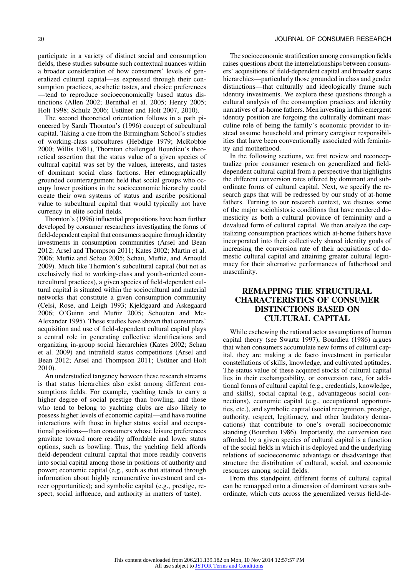participate in a variety of distinct social and consumption fields, these studies subsume such contextual nuances within a broader consideration of how consumers' levels of generalized cultural capital—as expressed through their consumption practices, aesthetic tastes, and choice preferences —tend to reproduce socioeconomically based status distinctions (Allen 2002; Bernthal et al. 2005; Henry 2005; Holt 1998; Schulz 2006; Üstüner and Holt 2007, 2010).

The second theoretical orientation follows in a path pioneered by Sarah Thornton's (1996) concept of subcultural capital. Taking a cue from the Birmingham School's studies of working-class subcultures (Hebdige 1979; McRobbie 2000; Willis 1981), Thornton challenged Bourdieu's theoretical assertion that the status value of a given species of cultural capital was set by the values, interests, and tastes of dominant social class factions. Her ethnographically grounded counterargument held that social groups who occupy lower positions in the socioeconomic hierarchy could create their own systems of status and ascribe positional value to subcultural capital that would typically not have currency in elite social fields.

Thornton's (1996) influential propositions have been further developed by consumer researchers investigating the forms of field-dependent capital that consumers acquire through identity investments in consumption communities (Arsel and Bean 2012; Arsel and Thompson 2011; Kates 2002; Martin et al. 2006; Muñiz and Schau 2005; Schau, Muñiz, and Arnould 2009). Much like Thornton's subcultural capital (but not as exclusively tied to working-class and youth-oriented countercultural practices), a given species of field-dependent cultural capital is situated within the sociocultural and material networks that constitute a given consumption community (Celsi, Rose, and Leigh 1993; Kjeldgaard and Askegaard 2006; O'Guinn and Muñiz 2005; Schouten and Mc-Alexander 1995). These studies have shown that consumers' acquisition and use of field-dependent cultural capital plays a central role in generating collective identifications and organizing in-group social hierarchies (Kates 2002; Schau et al. 2009) and intrafield status competitions (Arsel and Bean 2012; Arsel and Thompson 2011; Üstüner and Holt 2010).

An understudied tangency between these research streams is that status hierarchies also exist among different consumptions fields. For example, yachting tends to carry a higher degree of social prestige than bowling, and those who tend to belong to yachting clubs are also likely to possess higher levels of economic capital—and have routine interactions with those in higher status social and occupational positions—than consumers whose leisure preferences gravitate toward more readily affordable and lower status options, such as bowling. Thus, the yachting field affords field-dependent cultural capital that more readily converts into social capital among those in positions of authority and power; economic capital (e.g., such as that attained through information about highly remunerative investment and career opportunities); and symbolic capital (e.g., prestige, respect, social influence, and authority in matters of taste).

The socioeconomic stratification among consumption fields raises questions about the interrelationships between consumers' acquisitions of field-dependent capital and broader status hierarchies—particularly those grounded in class and gender distinctions—that culturally and ideologically frame such identity investments. We explore these questions through a cultural analysis of the consumption practices and identity narratives of at-home fathers. Men investing in this emergent identity position are forgoing the culturally dominant masculine role of being the family's economic provider to instead assume household and primary caregiver responsibilities that have been conventionally associated with femininity and motherhood.

In the following sections, we first review and reconceptualize prior consumer research on generalized and fielddependent cultural capital from a perspective that highlights the different conversion rates offered by dominant and subordinate forms of cultural capital. Next, we specify the research gaps that will be redressed by our study of at-home fathers. Turning to our research context, we discuss some of the major sociohistoric conditions that have rendered domesticity as both a cultural province of femininity and a devalued form of cultural capital. We then analyze the capitalizing consumption practices which at-home fathers have incorporated into their collectively shared identity goals of increasing the conversion rate of their acquisitions of domestic cultural capital and attaining greater cultural legitimacy for their alternative performances of fatherhood and masculinity.

# **REMAPPING THE STRUCTURAL CHARACTERISTICS OF CONSUMER DISTINCTIONS BASED ON CULTURAL CAPITAL**

While eschewing the rational actor assumptions of human capital theory (see Swartz 1997), Bourdieu (1986) argues that when consumers accumulate new forms of cultural capital, they are making a de facto investment in particular constellations of skills, knowledge, and cultivated aptitudes. The status value of these acquired stocks of cultural capital lies in their exchangeability, or conversion rate, for additional forms of cultural capital (e.g., credentials, knowledge, and skills), social capital (e.g., advantageous social connections), economic capital (e.g., occupational opportunities, etc.), and symbolic capital (social recognition, prestige, authority, respect, legitimacy, and other laudatory demarcations) that contribute to one's overall socioeconomic standing (Bourdieu 1986). Importantly, the conversion rate afforded by a given species of cultural capital is a function of the social fields in which it is deployed and the underlying relations of socioeconomic advantage or disadvantage that structure the distribution of cultural, social, and economic resources among social fields.

From this standpoint, different forms of cultural capital can be remapped onto a dimension of dominant versus subordinate, which cuts across the generalized versus field-de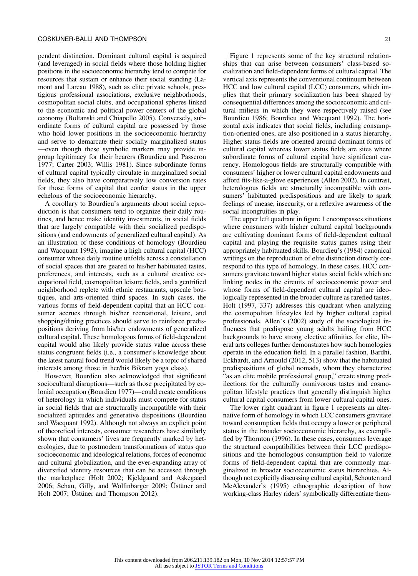pendent distinction. Dominant cultural capital is acquired (and leveraged) in social fields where those holding higher positions in the socioeconomic hierarchy tend to compete for resources that sustain or enhance their social standing (Lamont and Lareau 1988), such as elite private schools, prestigious professional associations, exclusive neighborhoods, cosmopolitan social clubs, and occupational spheres linked to the economic and political power centers of the global economy (Boltanski and Chiapello 2005). Conversely, subordinate forms of cultural capital are possessed by those who hold lower positions in the socioeconomic hierarchy and serve to demarcate their socially marginalized status —even though these symbolic markers may provide ingroup legitimacy for their bearers (Bourdieu and Passeron 1977; Carter 2003; Willis 1981). Since subordinate forms of cultural capital typically circulate in marginalized social fields, they also have comparatively low conversion rates for those forms of capital that confer status in the upper echelons of the socioeconomic hierarchy.

A corollary to Bourdieu's arguments about social reproduction is that consumers tend to organize their daily routines, and hence make identity investments, in social fields that are largely compatible with their socialized predispositions (and endowments of generalized cultural capital). As an illustration of these conditions of homology (Bourdieu and Wacquant 1992), imagine a high cultural capital (HCC) consumer whose daily routine unfolds across a constellation of social spaces that are geared to his/her habituated tastes, preferences, and interests, such as a cultural creative occupational field, cosmopolitan leisure fields, and a gentrified neighborhood replete with ethnic restaurants, upscale boutiques, and arts-oriented third spaces. In such cases, the various forms of field-dependent capital that an HCC consumer accrues through his/her recreational, leisure, and shopping/dining practices should serve to reinforce predispositions deriving from his/her endowments of generalized cultural capital. These homologous forms of field-dependent capital would also likely provide status value across these status congruent fields (i.e., a consumer's knowledge about the latest natural food trend would likely be a topic of shared interests among those in her/his Bikram yoga class).

However, Bourdieu also acknowledged that significant sociocultural disruptions—such as those precipitated by colonial occupation (Bourdieu 1977)—could create conditions of heterology in which individuals must compete for status in social fields that are structurally incompatible with their socialized aptitudes and generative dispositions (Bourdieu and Wacquant 1992). Although not always an explicit point of theoretical interests, consumer researchers have similarly shown that consumers' lives are frequently marked by heterologies, due to postmodern transformations of status quo socioeconomic and ideological relations, forces of economic and cultural globalization, and the ever-expanding array of diversified identity resources that can be accessed through the marketplace (Holt 2002; Kjeldgaard and Askegaard 2006; Schau, Gilly, and Wolfinbarger 2009; Üstüner and Holt 2007; Üstüner and Thompson 2012).

Figure 1 represents some of the key structural relationships that can arise between consumers' class-based socialization and field-dependent forms of cultural capital. The vertical axis represents the conventional continuum between HCC and low cultural capital (LCC) consumers, which implies that their primary socialization has been shaped by consequential differences among the socioeconomic and cultural milieus in which they were respectively raised (see Bourdieu 1986; Bourdieu and Wacquant 1992). The horizontal axis indicates that social fields, including consumption-oriented ones, are also positioned in a status hierarchy. Higher status fields are oriented around dominant forms of cultural capital whereas lower status fields are sites where subordinate forms of cultural capital have significant currency. Homologous fields are structurally compatible with consumers' higher or lower cultural capital endowments and afford fits-like-a-glove experiences (Allen 2002). In contrast, heterologous fields are structurally incompatible with consumers' habituated predispositions and are likely to spark feelings of unease, insecurity, or a reflexive awareness of the social incongruities in play.

The upper left quadrant in figure 1 encompasses situations where consumers with higher cultural capital backgrounds are cultivating dominant forms of field-dependent cultural capital and playing the requisite status games using their appropriately habituated skills. Bourdieu's (1984) canonical writings on the reproduction of elite distinction directly correspond to this type of homology. In these cases, HCC consumers gravitate toward higher status social fields which are linking nodes in the circuits of socioeconomic power and whose forms of field-dependent cultural capital are ideologically represented in the broader culture as rarefied tastes. Holt (1997, 337) addresses this quadrant when analyzing the cosmopolitan lifestyles led by higher cultural capital professionals. Allen's (2002) study of the sociological influences that predispose young adults hailing from HCC backgrounds to have strong elective affinities for elite, liberal arts colleges further demonstrates how such homologies operate in the education field. In a parallel fashion, Bardhi, Eckhardt, and Arnould (2012, 513) show that the habituated predispositions of global nomads, whom they characterize "as an elite mobile professional group," create strong predilections for the culturally omnivorous tastes and cosmopolitan lifestyle practices that generally distinguish higher cultural capital consumers from lower cultural capital ones.

The lower right quadrant in figure 1 represents an alternative form of homology in which LCC consumers gravitate toward consumption fields that occupy a lower or peripheral status in the broader socioeconomic hierarchy, as exemplified by Thornton (1996). In these cases, consumers leverage the structural compatibilities between their LCC predispositions and the homologous consumption field to valorize forms of field-dependent capital that are commonly marginalized in broader socioeconomic status hierarchies. Although not explicitly discussing cultural capital, Schouten and McAlexander's (1995) ethnographic description of how working-class Harley riders' symbolically differentiate them-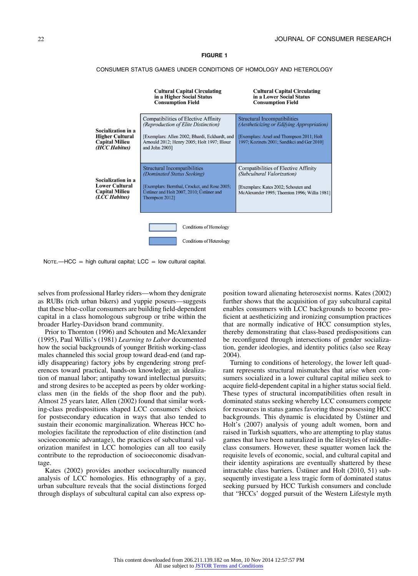#### **FIGURE 1**

#### CONSUMER STATUS GAMES UNDER CONDITIONS OF HOMOLOGY AND HETEROLOGY

|                                                                                        | <b>Cultural Capital Circulating</b><br>in a Higher Social Status<br><b>Consumption Field</b>                                                                                                  | <b>Cultural Capital Circulating</b><br>in a Lower Social Status<br><b>Consumption Field</b>                                                                                   |
|----------------------------------------------------------------------------------------|-----------------------------------------------------------------------------------------------------------------------------------------------------------------------------------------------|-------------------------------------------------------------------------------------------------------------------------------------------------------------------------------|
| Socialization in a<br><b>Higher Cultural</b><br><b>Capital Milieu</b><br>(HCC Habitus) | Compatibilities of Elective Affinity<br>(Reproduction of Elite Distinction)<br>[Exemplars: Allen 2002; Bhardi, Eckhardt, and<br>Arnould 2012; Henry 2005; Holt 1997; Illouz<br>and John 2003] | <b>Structural Incompatibilities</b><br>(Aestheticizing or Edifying Appropriation)<br>[Exemplars: Arsel and Thompson 2011; Holt<br>1997; Kozinets 2001; Sandikci and Ger 2010] |
| Socialization in a<br><b>Lower Cultural</b><br><b>Capital Milieu</b><br>(LCC Habitus)  | <b>Structural Incompatibilities</b><br>(Dominated Status Seeking)<br>[Exemplars: Bernthal, Crocket, and Rose 2005;<br>Üstüner and Holt 2007, 2010; Üstüner and<br>Thompson 2012]              | Compatibilities of Elective Affinity<br>(Subcultural Valorization)<br>[Exemplars: Kates 2002; Schouten and<br>McAlexander 1995; Thornton 1996; Willis 1981]                   |
|                                                                                        | <b>Conditions of Homology</b><br><b>Conditions of Heterology</b>                                                                                                                              |                                                                                                                                                                               |

NOTE.—HCC = high cultural capital; LCC = low cultural capital.

selves from professional Harley riders—whom they denigrate as RUBs (rich urban bikers) and yuppie poseurs—suggests that these blue-collar consumers are building field-dependent capital in a class homologous subgroup or tribe within the broader Harley-Davidson brand community.

Prior to Thornton (1996) and Schouten and McAlexander (1995), Paul Willis's (1981) *Learning to Labor* documented how the social backgrounds of younger British working-class males channeled this social group toward dead-end (and rapidly disappearing) factory jobs by engendering strong preferences toward practical, hands-on knowledge; an idealization of manual labor; antipathy toward intellectual pursuits; and strong desires to be accepted as peers by older workingclass men (in the fields of the shop floor and the pub). Almost 25 years later, Allen (2002) found that similar working-class predispositions shaped LCC consumers' choices for postsecondary education in ways that also tended to sustain their economic marginalization. Whereas HCC homologies facilitate the reproduction of elite distinction (and socioeconomic advantage), the practices of subcultural valorization manifest in LCC homologies can all too easily contribute to the reproduction of socioeconomic disadvantage.

Kates (2002) provides another socioculturally nuanced analysis of LCC homologies. His ethnography of a gay, urban subculture reveals that the social distinctions forged through displays of subcultural capital can also express opposition toward alienating heterosexist norms. Kates (2002) further shows that the acquisition of gay subcultural capital enables consumers with LCC backgrounds to become proficient at aestheticizing and ironizing consumption practices that are normally indicative of HCC consumption styles, thereby demonstrating that class-based predispositions can be reconfigured through intersections of gender socialization, gender ideologies, and identity politics (also see Reay 2004).

Turning to conditions of heterology, the lower left quadrant represents structural mismatches that arise when consumers socialized in a lower cultural capital milieu seek to acquire field-dependent capital in a higher status social field. These types of structural incompatibilities often result in dominated status seeking whereby LCC consumers compete for resources in status games favoring those possessing HCC backgrounds. This dynamic is elucidated by Üstüner and Holt's (2007) analysis of young adult women, born and raised in Turkish squatters, who are attempting to play status games that have been naturalized in the lifestyles of middleclass consumers. However, these squatter women lack the requisite levels of economic, social, and cultural capital and their identity aspirations are eventually shattered by these intractable class barriers. Ustüner and Holt  $(2010, 51)$  subsequently investigate a less tragic form of dominated status seeking pursued by HCC Turkish consumers and conclude that "HCCs' dogged pursuit of the Western Lifestyle myth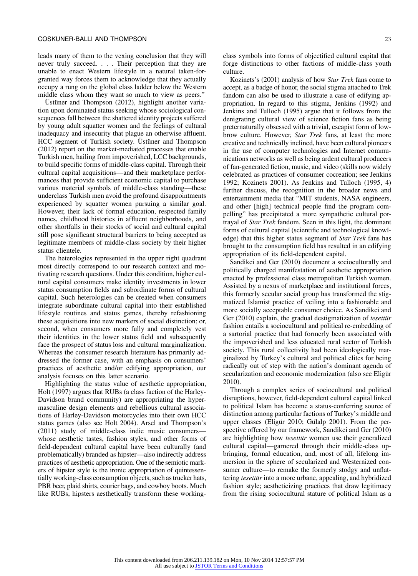leads many of them to the vexing conclusion that they will never truly succeed. . . . Their perception that they are unable to enact Western lifestyle in a natural taken-forgranted way forces them to acknowledge that they actually occupy a rung on the global class ladder below the Western middle class whom they want so much to view as peers."

Üstüner and Thompson (2012), highlight another variation upon dominated status seeking whose sociological consequences fall between the shattered identity projects suffered by young adult squatter women and the feelings of cultural inadequacy and insecurity that plague an otherwise affluent, HCC segment of Turkish society. Ustüner and Thompson (2012) report on the market-mediated processes that enable Turkish men, hailing from impoverished, LCC backgrounds, to build specific forms of middle-class capital. Through their cultural capital acquisitions—and their marketplace performances that provide sufficient economic capital to purchase various material symbols of middle-class standing—these underclass Turkish men avoid the profound disappointments experienced by squatter women pursuing a similar goal. However, their lack of formal education, respected family names, childhood histories in affluent neighborhoods, and other shortfalls in their stocks of social and cultural capital still pose significant structural barriers to being accepted as legitimate members of middle-class society by their higher status clientele.

The heterologies represented in the upper right quadrant most directly correspond to our research context and motivating research questions. Under this condition, higher cultural capital consumers make identity investments in lower status consumption fields and subordinate forms of cultural capital. Such heterologies can be created when consumers integrate subordinate cultural capital into their established lifestyle routines and status games, thereby refashioning these acquisitions into new markers of social distinction; or, second, when consumers more fully and completely vest their identities in the lower status field and subsequently face the prospect of status loss and cultural marginalization. Whereas the consumer research literature has primarily addressed the former case, with an emphasis on consumers' practices of aesthetic and/or edifying appropriation, our analysis focuses on this latter scenario.

Highlighting the status value of aesthetic appropriation, Holt (1997) argues that RUBs (a class faction of the Harley-Davidson brand community) are appropriating the hypermasculine design elements and rebellious cultural associations of Harley-Davidson motorcycles into their own HCC status games (also see Holt 2004). Arsel and Thompson's (2011) study of middle-class indie music consumers whose aesthetic tastes, fashion styles, and other forms of field-dependent cultural capital have been culturally (and problematically) branded as hipster—also indirectly address practices of aesthetic appropriation. One of the semiotic markers of hipster style is the ironic appropriation of quintessentially working-class consumption objects, such as trucker hats, PBR beer, plaid shirts, courier bags, and cowboy boots. Much like RUBs, hipsters aesthetically transform these workingclass symbols into forms of objectified cultural capital that forge distinctions to other factions of middle-class youth culture.

Kozinets's (2001) analysis of how *Star Trek* fans come to accept, as a badge of honor, the social stigma attached to Trek fandom can also be used to illustrate a case of edifying appropriation. In regard to this stigma, Jenkins (1992) and Jenkins and Tulloch (1995) argue that it follows from the denigrating cultural view of science fiction fans as being preternaturally obsessed with a trivial, escapist form of lowbrow culture. However, *Star Trek* fans, at least the more creative and technically inclined, have been cultural pioneers in the use of computer technologies and Internet communications networks as well as being ardent cultural producers of fan-generated fiction, music, and video (skills now widely celebrated as practices of consumer cocreation; see Jenkins 1992; Kozinets 2001). As Jenkins and Tulloch (1995, 4) further discuss, the recognition in the broader news and entertainment media that "MIT students, NASA engineers, and other [high] technical people find the program compelling" has precipitated a more sympathetic cultural portrayal of *Star Trek* fandom. Seen in this light, the dominant forms of cultural capital (scientific and technological knowledge) that this higher status segment of *Star Trek* fans has brought to the consumption field has resulted in an edifying appropriation of its field-dependent capital.

Sandikci and Ger (2010) document a socioculturally and politically charged manifestation of aesthetic appropriation enacted by professional class metropolitan Turkish women. Assisted by a nexus of marketplace and institutional forces, this formerly secular social group has transformed the stigmatized Islamist practice of veiling into a fashionable and more socially acceptable consumer choice. As Sandikci and Ger (2010) explain, the gradual destigmatization of *tesettür* fashion entails a sociocultural and political re-embedding of a sartorial practice that had formerly been associated with the impoverished and less educated rural sector of Turkish society. This rural collectivity had been ideologically marginalized by Turkey's cultural and political elites for being radically out of step with the nation's dominant agenda of secularization and economic modernization (also see Eligür 2010).

Through a complex series of sociocultural and political disruptions, however, field-dependent cultural capital linked to political Islam has become a status-conferring source of distinction among particular factions of Turkey's middle and upper classes (Eligür 2010; Gülalp 2001). From the perspective offered by our framework, Sandikci and Ger (2010) are highlighting how *tesettür* women use their generalized cultural capital—garnered through their middle-class upbringing, formal education, and, most of all, lifelong immersion in the sphere of secularized and Westernized consumer culture—to remake the formerly stodgy and unflattering *tesettür* into a more urbane, appealing, and hybridized fashion style; aestheticizing practices that draw legitimacy from the rising sociocultural stature of political Islam as a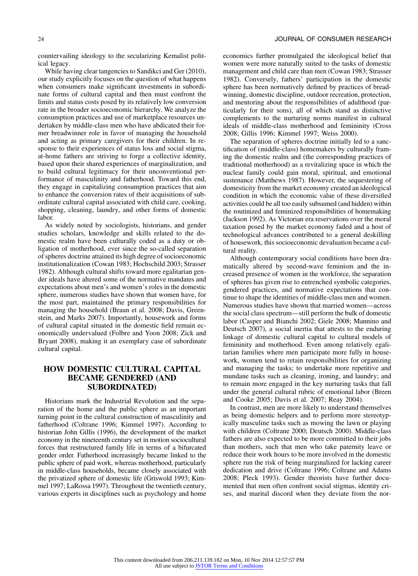countervailing ideology to the secularizing Kemalist political legacy.

While having clear tangencies to Sandikci and Ger (2010), our study explicitly focuses on the question of what happens when consumers make significant investments in subordinate forms of cultural capital and then must confront the limits and status costs posed by its relatively low conversion rate in the broader socioeconomic hierarchy. We analyze the consumption practices and use of marketplace resources undertaken by middle-class men who have abdicated their former breadwinner role in favor of managing the household and acting as primary caregivers for their children. In response to their experiences of status loss and social stigma, at-home fathers are striving to forge a collective identity, based upon their shared experiences of marginalization, and to build cultural legitimacy for their unconventional performance of masculinity and fatherhood. Toward this end, they engage in capitalizing consumption practices that aim to enhance the conversion rates of their acquisitions of subordinate cultural capital associated with child care, cooking, shopping, cleaning, laundry, and other forms of domestic labor.

As widely noted by sociologists, historians, and gender studies scholars, knowledge and skills related to the domestic realm have been culturally coded as a duty or obligation of motherhood, ever since the so-called separation of spheres doctrine attained its high degree of socioeconomic institutionalization (Cowan 1983; Hochschild 2003; Strasser 1982). Although cultural shifts toward more egalitarian gender ideals have altered some of the normative mandates and expectations about men's and women's roles in the domestic sphere, numerous studies have shown that women have, for the most part, maintained the primary responsibilities for managing the household (Braun et al. 2008; Davis, Greenstein, and Marks 2007). Importantly, housework and forms of cultural capital situated in the domestic field remain economically undervalued (Folbre and Yoon 2008; Zick and Bryant 2008), making it an exemplary case of subordinate cultural capital.

# **HOW DOMESTIC CULTURAL CAPITAL BECAME GENDERED (AND SUBORDINATED)**

Historians mark the Industrial Revolution and the separation of the home and the public sphere as an important turning point in the cultural construction of masculinity and fatherhood (Coltrane 1996; Kimmel 1997). According to historian John Gillis (1996), the development of the market economy in the nineteenth century set in motion sociocultural forces that restructured family life in terms of a bifurcated gender order. Fatherhood increasingly became linked to the public sphere of paid work, whereas motherhood, particularly in middle-class households, became closely associated with the privatized sphere of domestic life (Griswold 1993; Kimmel 1997; LaRossa 1997). Throughout the twentieth century, various experts in disciplines such as psychology and home

economics further promulgated the ideological belief that women were more naturally suited to the tasks of domestic management and child care than men (Cowan 1983; Strasser 1982). Conversely, fathers' participation in the domestic sphere has been normatively defined by practices of breadwinning, domestic discipline, outdoor recreation, protection, and mentoring about the responsibilities of adulthood (particularly for their sons), all of which stand as distinctive complements to the nurturing norms manifest in cultural ideals of middle-class motherhood and femininity (Cross 2008; Gillis 1996; Kimmel 1997; Weiss 2000).

The separation of spheres doctrine initially led to a sanctification of (middle-class) homemakers by culturally framing the domestic realm and (the corresponding practices of traditional motherhood) as a revitalizing space in which the nuclear family could gain moral, spiritual, and emotional sustenance (Matthews 1987). However, the sequestering of domesticity from the market economy created an ideological condition in which the economic value of these diversified activities could be all too easily subsumed (and hidden) within the routinized and feminized responsibilities of homemaking (Jackson 1992). As Victorian era reservations over the moral taxation posed by the market economy faded and a host of technological advances contributed to a general deskilling of housework, this socioeconomic devaluation became a cultural reality.

Although contemporary social conditions have been dramatically altered by second-wave feminism and the increased presence of women in the workforce, the separation of spheres has given rise to entrenched symbolic categories, gendered practices, and normative expectations that continue to shape the identities of middle-class men and women. Numerous studies have shown that married women—across the social class spectrum—still perform the bulk of domestic labor (Casper and Bianchi 2002; Giele 2008; Mannino and Deutsch 2007), a social inertia that attests to the enduring linkage of domestic cultural capital to cultural models of femininity and motherhood. Even among relatively egalitarian families where men participate more fully in housework, women tend to retain responsibilities for organizing and managing the tasks; to undertake more repetitive and mundane tasks such as cleaning, ironing, and laundry; and to remain more engaged in the key nurturing tasks that fall under the general cultural rubric of emotional labor (Breen and Cooke 2005; Davis et al. 2007; Reay 2004).

In contrast, men are more likely to understand themselves as being domestic helpers and to perform more stereotypically masculine tasks such as mowing the lawn or playing with children (Coltrane 2000; Deutsch 2000). Middle-class fathers are also expected to be more committed to their jobs than mothers, such that men who take paternity leave or reduce their work hours to be more involved in the domestic sphere run the risk of being marginalized for lacking career dedication and drive (Coltrane 1996; Coltrane and Adams 2008; Pleck 1993). Gender theorists have further documented that men often confront social stigmas, identity crises, and marital discord when they deviate from the nor-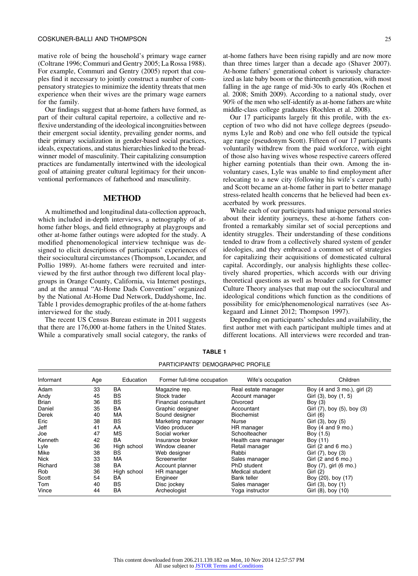#### COSKUNER-BALLI AND THOMPSON 25

mative role of being the household's primary wage earner (Coltrane 1996; Commuri and Gentry 2005; La Rossa 1988). For example, Commuri and Gentry (2005) report that couples find it necessary to jointly construct a number of compensatory strategies to minimize the identity threats that men experience when their wives are the primary wage earners for the family.

Our findings suggest that at-home fathers have formed, as part of their cultural capital repertoire, a collective and reflexive understanding of the ideological incongruities between their emergent social identity, prevailing gender norms, and their primary socialization in gender-based social practices, ideals, expectations, and status hierarchies linked to the breadwinner model of masculinity. Their capitalizing consumption practices are fundamentally intertwined with the ideological goal of attaining greater cultural legitimacy for their unconventional performances of fatherhood and masculinity.

#### **METHOD**

A multimethod and longitudinal data-collection approach, which included in-depth interviews, a netnography of athome father blogs, and field ethnography at playgroups and other at-home father outings were adopted for the study. A modified phenomenological interview technique was designed to elicit descriptions of participants' experiences of their sociocultural circumstances (Thompson, Locander, and Pollio 1989). At-home fathers were recruited and interviewed by the first author through two different local playgroups in Orange County, California, via Internet postings, and at the annual "At-Home Dads Convention" organized by the National At-Home Dad Network, Daddyshome, Inc. Table 1 provides demographic profiles of the at-home fathers interviewed for the study.

The recent US Census Bureau estimate in 2011 suggests that there are 176,000 at-home fathers in the United States. While a comparatively small social category, the ranks of at-home fathers have been rising rapidly and are now more than three times larger than a decade ago (Shaver 2007). At-home fathers' generational cohort is variously characterized as late baby boom or the thirteenth generation, with most falling in the age range of mid-30s to early 40s (Rochen et al. 2008; Smith 2009). According to a national study, over 90% of the men who self-identify as at-home fathers are white middle-class college graduates (Rochlen et al. 2008).

Our 17 participants largely fit this profile, with the exception of two who did not have college degrees (pseudonyms Lyle and Rob) and one who fell outside the typical age range (pseudonym Scott). Fifteen of our 17 participants voluntarily withdrew from the paid workforce, with eight of those also having wives whose respective careers offered higher earning potentials than their own. Among the involuntary cases, Lyle was unable to find employment after relocating to a new city (following his wife's career path) and Scott became an at-home father in part to better manage stress-related health concerns that he believed had been exacerbated by work pressures.

While each of our participants had unique personal stories about their identity journeys, these at-home fathers confronted a remarkably similar set of social perceptions and identity struggles. Their understanding of these conditions tended to draw from a collectively shared system of gender ideologies, and they embraced a common set of strategies for capitalizing their acquisitions of domesticated cultural capital. Accordingly, our analysis highlights these collectively shared properties, which accords with our driving theoretical questions as well as broader calls for Consumer Culture Theory analyses that map out the sociocultural and ideological conditions which function as the conditions of possibility for emic/phenomenological narratives (see Askegaard and Linnet 2012; Thompson 1997).

Depending on participants' schedules and availability, the first author met with each participant multiple times and at different locations. All interviews were recorded and tran-

| Informant    | Age | Education   | Former full-time occupation | Wife's occupation   | Children                              |
|--------------|-----|-------------|-----------------------------|---------------------|---------------------------------------|
| Adam         | 33  | <b>BA</b>   | Magazine rep.               | Real estate manager | Boy (4 and 3 mo.), girl (2)           |
| Andy         | 45  | BS.         | Stock trader                | Account manager     | Girl (3), boy (1, 5)                  |
| <b>Brian</b> | 36  | BS.         | Financial consultant        | Divorced            | Boy $(3)$                             |
| Daniel       | 35  | BA          | Graphic designer            | Accountant          | Girl (7), boy (5), boy (3)            |
| Derek        | 40  | MA          | Sound designer              | <b>Biochemist</b>   | Girl $(6)$                            |
| Eric         | 38  | BS.         | Marketing manager           | <b>Nurse</b>        | Girl (3), boy (5)                     |
| Jeff         | 41  | AA          | Video producer              | HR manager          | Boy $(4 \text{ and } 9 \text{ mo.})$  |
| Joe          | 47  | МS          | Social worker               | Schoolteacher       | Boy (1.5)                             |
| Kenneth      | 42  | BA          | Insurance broker            | Health care manager | Boy (11)                              |
| Lyle         | 36  | High school | Window cleaner              | Retail manager      | Girl $(2 \text{ and } 6 \text{ mo.})$ |
| Mike         | 38  | <b>BS</b>   | Web designer                | Rabbi               | Girl (7), boy (3)                     |
| Nick         | 33  | МA          | Screenwriter                | Sales manager       | Girl (2 and 6 mo.)                    |
| Richard      | 38  | BA          | Account planner             | PhD student         | Boy (7), girl (6 mo.)                 |
| Rob          | 36  | High school | HR manager                  | Medical student     | Girl (2)                              |
| Scott        | 54  | BA          | Engineer                    | Bank teller         | Boy (20), boy (17)                    |
| Tom          | 40  | <b>BS</b>   | Disc jockey                 | Sales manager       | Girl (3), boy (1)                     |
| Vince        | 44  | BA          | Archeologist                | Yoga instructor     | Girl (8), boy (10)                    |

**TABLE 1**

| <b>PARTICIPANTS' DEMOGRAPHIC PROFILE</b> |  |
|------------------------------------------|--|
|------------------------------------------|--|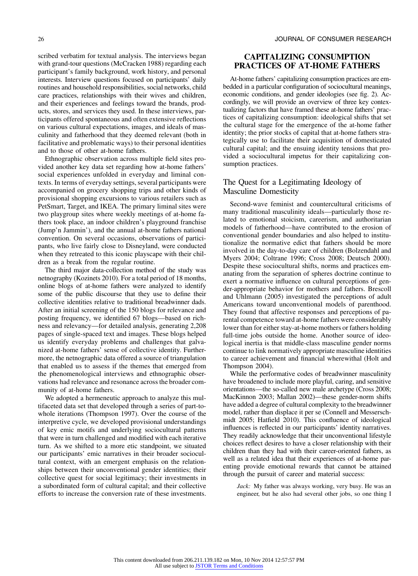scribed verbatim for textual analysis. The interviews began with grand-tour questions (McCracken 1988) regarding each participant's family background, work history, and personal interests. Interview questions focused on participants' daily routines and household responsibilities, social networks, child care practices, relationships with their wives and children, and their experiences and feelings toward the brands, products, stores, and services they used. In these interviews, participants offered spontaneous and often extensive reflections on various cultural expectations, images, and ideals of masculinity and fatherhood that they deemed relevant (both in facilitative and problematic ways) to their personal identities

Ethnographic observation across multiple field sites provided another key data set regarding how at-home fathers' social experiences unfolded in everyday and liminal contexts. In terms of everyday settings, several participants were accompanied on grocery shopping trips and other kinds of provisional shopping excursions to various retailers such as PetSmart, Target, and IKEA. The primary liminal sites were two playgroup sites where weekly meetings of at-home fathers took place, an indoor children's playground franchise (Jump'n Jammin'), and the annual at-home fathers national convention. On several occasions, observations of participants, who live fairly close to Disneyland, were conducted when they retreated to this iconic playscape with their children as a break from the regular routine.

and to those of other at-home fathers.

The third major data-collection method of the study was netnography (Kozinets 2010). For a total period of 18 months, online blogs of at-home fathers were analyzed to identify some of the public discourse that they use to define their collective identities relative to traditional breadwinner dads. After an initial screening of the 150 blogs for relevance and posting frequency, we identified 67 blogs—based on richness and relevancy—for detailed analysis, generating 2,208 pages of single-spaced text and images. These blogs helped us identify everyday problems and challenges that galvanized at-home fathers' sense of collective identity. Furthermore, the netnographic data offered a source of triangulation that enabled us to assess if the themes that emerged from the phenomenological interviews and ethnographic observations had relevance and resonance across the broader community of at-home fathers.

We adopted a hermeneutic approach to analyze this multifaceted data set that developed through a series of part-towhole iterations (Thompson 1997). Over the course of the interpretive cycle, we developed provisional understandings of key emic motifs and underlying sociocultural patterns that were in turn challenged and modified with each iterative turn. As we shifted to a more etic standpoint, we situated our participants' emic narratives in their broader sociocultural context, with an emergent emphasis on the relationships between their unconventional gender identities; their collective quest for social legitimacy; their investments in a subordinated form of cultural capital; and their collective efforts to increase the conversion rate of these investments.

# **CAPITALIZING CONSUMPTION PRACTICES OF AT-HOME FATHERS**

At-home fathers' capitalizing consumption practices are embedded in a particular configuration of sociocultural meanings, economic conditions, and gender ideologies (see fig. 2). Accordingly, we will provide an overview of three key contextualizing factors that have framed these at-home fathers' practices of capitalizing consumption: ideological shifts that set the cultural stage for the emergence of the at-home father identity; the prior stocks of capital that at-home fathers strategically use to facilitate their acquisition of domesticated cultural capital; and the ensuing identity tensions that provided a sociocultural impetus for their capitalizing consumption practices.

# The Quest for a Legitimating Ideology of Masculine Domesticity

Second-wave feminist and countercultural criticisms of many traditional masculinity ideals—particularly those related to emotional stoicism, careerism, and authoritarian models of fatherhood—have contributed to the erosion of conventional gender boundaries and also helped to institutionalize the normative edict that fathers should be more involved in the day-to-day care of children (Bolzendahl and Myers 2004; Coltrane 1996; Cross 2008; Deutsch 2000). Despite these sociocultural shifts, norms and practices emanating from the separation of spheres doctrine continue to exert a normative influence on cultural perceptions of gender-appropriate behavior for mothers and fathers. Brescoll and Uhlmann (2005) investigated the perceptions of adult Americans toward unconventional models of parenthood. They found that affective responses and perceptions of parental competence toward at-home fathers were considerably lower than for either stay-at-home mothers or fathers holding full-time jobs outside the home. Another source of ideological inertia is that middle-class masculine gender norms continue to link normatively appropriate masculine identities to career achievement and financial wherewithal (Holt and Thompson 2004).

While the performative codes of breadwinner masculinity have broadened to include more playful, caring, and sensitive orientations—the so-called new male archetype (Cross 2008; MacKinnon 2003; Mallan 2002)—these gender-norm shifts have added a degree of cultural complexity to the breadwinner model, rather than displace it per se (Connell and Messerschmidt 2005; Hatfield 2010). This confluence of ideological influences is reflected in our participants' identity narratives. They readily acknowledge that their unconventional lifestyle choices reflect desires to have a closer relationship with their children than they had with their career-oriented fathers, as well as a related idea that their experiences of at-home parenting provide emotional rewards that cannot be attained through the pursuit of career and material success:

*Jack:* My father was always working, very busy. He was an engineer, but he also had several other jobs, so one thing I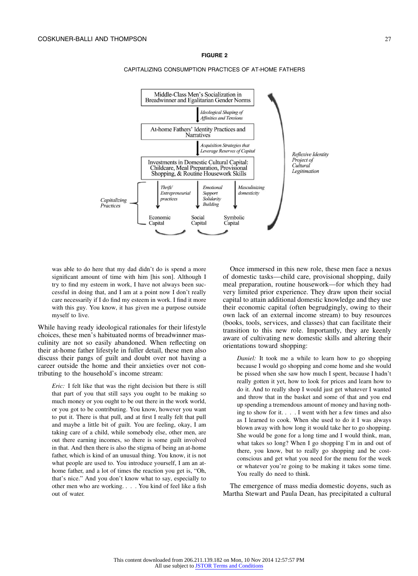#### **FIGURE 2**

#### CAPITALIZING CONSUMPTION PRACTICES OF AT-HOME FATHERS



was able to do here that my dad didn't do is spend a more significant amount of time with him [his son]. Although I try to find my esteem in work, I have not always been successful in doing that, and I am at a point now I don't really care necessarily if I do find my esteem in work. I find it more with this guy. You know, it has given me a purpose outside myself to live.

While having ready ideological rationales for their lifestyle choices, these men's habituated norms of breadwinner masculinity are not so easily abandoned. When reflecting on their at-home father lifestyle in fuller detail, these men also discuss their pangs of guilt and doubt over not having a career outside the home and their anxieties over not contributing to the household's income stream:

*Eric:* I felt like that was the right decision but there is still that part of you that still says you ought to be making so much money or you ought to be out there in the work world, or you got to be contributing. You know, however you want to put it. There is that pull, and at first I really felt that pull and maybe a little bit of guilt. You are feeling, okay, I am taking care of a child, while somebody else, other men, are out there earning incomes, so there is some guilt involved in that. And then there is also the stigma of being an at-home father, which is kind of an unusual thing. You know, it is not what people are used to. You introduce yourself, I am an athome father, and a lot of times the reaction you get is, "Oh, that's nice." And you don't know what to say, especially to other men who are working. . . . You kind of feel like a fish out of water.

Once immersed in this new role, these men face a nexus of domestic tasks—child care, provisional shopping, daily meal preparation, routine housework—for which they had very limited prior experience. They draw upon their social capital to attain additional domestic knowledge and they use their economic capital (often begrudgingly, owing to their own lack of an external income stream) to buy resources (books, tools, services, and classes) that can facilitate their transition to this new role. Importantly, they are keenly aware of cultivating new domestic skills and altering their orientations toward shopping:

*Daniel:* It took me a while to learn how to go shopping because I would go shopping and come home and she would be pissed when she saw how much I spent, because I hadn't really gotten it yet, how to look for prices and learn how to do it. And to really shop I would just get whatever I wanted and throw that in the basket and some of that and you end up spending a tremendous amount of money and having nothing to show for it. . . . I went with her a few times and also as I learned to cook. When she used to do it I was always blown away with how long it would take her to go shopping. She would be gone for a long time and I would think, man, what takes so long? When I go shopping I'm in and out of there, you know, but to really go shopping and be costconscious and get what you need for the menu for the week or whatever you're going to be making it takes some time. You really do need to think.

The emergence of mass media domestic doyens, such as Martha Stewart and Paula Dean, has precipitated a cultural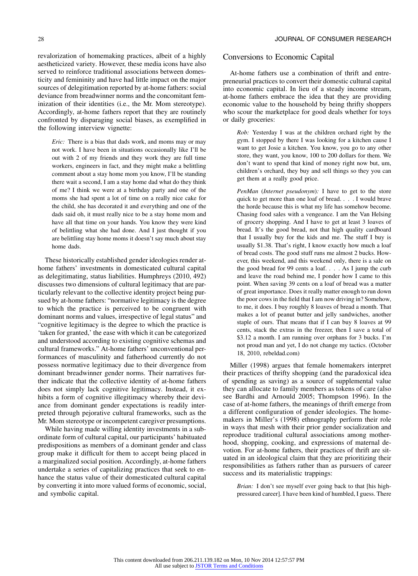revalorization of homemaking practices, albeit of a highly aestheticized variety. However, these media icons have also served to reinforce traditional associations between domesticity and femininity and have had little impact on the major sources of delegitimation reported by at-home fathers: social deviance from breadwinner norms and the concomitant feminization of their identities (i.e., the Mr. Mom stereotype). Accordingly, at-home fathers report that they are routinely confronted by disparaging social biases, as exemplified in the following interview vignette:

*Eric:* There is a bias that dads work, and moms may or may not work. I have been in situations occasionally like I'll be out with 2 of my friends and they work they are full time workers, engineers in fact, and they might make a belittling comment about a stay home mom you know, I'll be standing there wait a second, I am a stay home dad what do they think of me? I think we were at a birthday party and one of the moms she had spent a lot of time on a really nice cake for the child, she has decorated it and everything and one of the dads said oh, it must really nice to be a stay home mom and have all that time on your hands. You know they were kind of belittling what she had done. And I just thought if you are belittling stay home moms it doesn't say much about stay home dads.

These historically established gender ideologies render athome fathers' investments in domesticated cultural capital as delegitimating, status liabilities. Humphreys (2010, 492) discusses two dimensions of cultural legitimacy that are particularly relevant to the collective identity project being pursued by at-home fathers: "normative legitimacy is the degree to which the practice is perceived to be congruent with dominant norms and values, irrespective of legal status" and "cognitive legitimacy is the degree to which the practice is 'taken for granted,' the ease with which it can be categorized and understood according to existing cognitive schemas and cultural frameworks." At-home fathers' unconventional performances of masculinity and fatherhood currently do not possess normative legitimacy due to their divergence from dominant breadwinner gender norms. Their narratives further indicate that the collective identity of at-home fathers does not simply lack cognitive legitimacy. Instead, it exhibits a form of cognitive illegitimacy whereby their deviance from dominant gender expectations is readily interpreted through pejorative cultural frameworks, such as the Mr. Mom stereotype or incompetent caregiver presumptions.

While having made willing identity investments in a subordinate form of cultural capital, our participants' habituated predispositions as members of a dominant gender and class group make it difficult for them to accept being placed in a marginalized social position. Accordingly, at-home fathers undertake a series of capitalizing practices that seek to enhance the status value of their domesticated cultural capital by converting it into more valued forms of economic, social, and symbolic capital.

## 28 JOURNAL OF CONSUMER RESEARCH

## Conversions to Economic Capital

At-home fathers use a combination of thrift and entrepreneurial practices to convert their domestic cultural capital into economic capital. In lieu of a steady income stream, at-home fathers embrace the idea that they are providing economic value to the household by being thrifty shoppers who scour the marketplace for good deals whether for toys or daily groceries:

*Rob:* Yesterday I was at the children orchard right by the gym. I stopped by there I was looking for a kitchen cause I want to get Josie a kitchen. You know, you go to any other store, they want, you know, 100 to 200 dollars for them. We don't want to spend that kind of money right now but, um, children's orchard, they buy and sell things so they you can get them at a really good price.

*PenMan* (*Internet pseudonym*)*:* I have to get to the store quick to get more than one loaf of bread. . . . I would brave the horde because this is what my life has somehow become. Chasing food sales with a vengeance. I am the Van Helsing of grocery shopping. And I have to get at least 3 loaves of bread. It's the good bread, not that high quality cardboard that I usually buy for the kids and me. The stuff I buy is usually \$1.38. That's right, I know exactly how much a loaf of bread costs. The good stuff runs me almost 2 bucks. However, this weekend, and this weekend only, there is a sale on the good bread for 99 cents a loaf. . . . As I jump the curb and leave the road behind me, I ponder how I came to this point. When saving 39 cents on a loaf of bread was a matter of great importance. Does it really matter enough to run down the poor cows in the field that I am now driving in? Somehow, to me, it does. I buy roughly 8 loaves of bread a month. That makes a lot of peanut butter and jelly sandwiches, another staple of ours. That means that if I can buy 8 loaves at 99 cents, stack the extras in the freezer, then I save a total of \$3.12 a month. I am running over orphans for 3 bucks. I'm not proud man and yet, I do not change my tactics. (October 18, 2010, rebeldad.com)

Miller (1998) argues that female homemakers interpret their practices of thrifty shopping (and the paradoxical idea of spending as saving) as a source of supplemental value they can allocate to family members as tokens of care (also see Bardhi and Arnould 2005; Thompson 1996). In the case of at-home fathers, the meanings of thrift emerge from a different configuration of gender ideologies. The homemakers in Miller's (1998) ethnography perform their role in ways that mesh with their prior gender socialization and reproduce traditional cultural associations among motherhood, shopping, cooking, and expressions of maternal devotion. For at-home fathers, their practices of thrift are situated in an ideological claim that they are prioritizing their responsibilities as fathers rather than as pursuers of career success and its materialistic trappings:

*Brian:* I don't see myself ever going back to that [his highpressured career]. I have been kind of humbled, I guess. There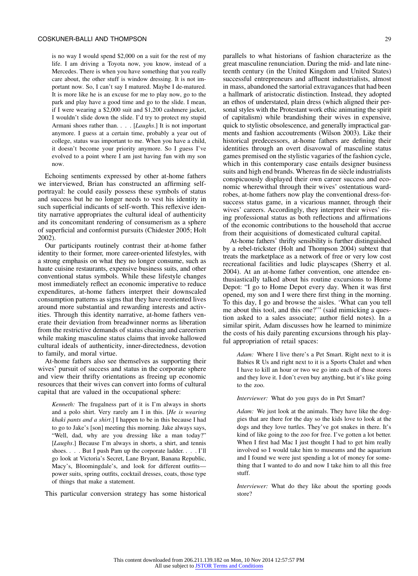is no way I would spend \$2,000 on a suit for the rest of my life. I am driving a Toyota now, you know, instead of a Mercedes. There is when you have something that you really care about, the other stuff is window dressing. It is not important now. So, I can't say I matured. Maybe I de-matured. It is more like he is an excuse for me to play now, go to the park and play have a good time and go to the slide. I mean, if I were wearing a \$2,000 suit and \$1,200 cashmere jacket, I wouldn't slide down the slide. I'd try to protect my stupid Armani shoes rather than. . . . [*Laughs*.] It is not important anymore. I guess at a certain time, probably a year out of college, status was important to me. When you have a child, it doesn't become your priority anymore. So I guess I've evolved to a point where I am just having fun with my son now.

Echoing sentiments expressed by other at-home fathers we interviewed, Brian has constructed an affirming selfportrayal: he could easily possess these symbols of status and success but he no longer needs to vest his identity in such superficial indicants of self-worth. This reflexive identity narrative appropriates the cultural ideal of authenticity and its concomitant rendering of consumerism as a sphere of superficial and conformist pursuits (Chidester 2005; Holt 2002).

Our participants routinely contrast their at-home father identity to their former, more career-oriented lifestyles, with a strong emphasis on what they no longer consume, such as haute cuisine restaurants, expensive business suits, and other conventional status symbols. While these lifestyle changes most immediately reflect an economic imperative to reduce expenditures, at-home fathers interpret their downscaled consumption patterns as signs that they have reoriented lives around more substantial and rewarding interests and activities. Through this identity narrative, at-home fathers venerate their deviation from breadwinner norms as liberation from the restrictive demands of status chasing and careerism while making masculine status claims that invoke hallowed cultural ideals of authenticity, inner-directedness, devotion to family, and moral virtue.

At-home fathers also see themselves as supporting their wives' pursuit of success and status in the corporate sphere and view their thrifty orientations as freeing up economic resources that their wives can convert into forms of cultural capital that are valued in the occupational sphere:

*Kenneth:* The frugalness part of it is I'm always in shorts and a polo shirt. Very rarely am I in this. [*He is wearing khaki pants and a shirt*.] I happen to be in this because I had to go to Jake's [son] meeting this morning. Jake always says, "Well, dad, why are you dressing like a man today?" [*Laughs*.] Because I'm always in shorts, a shirt, and tennis shoes. . . . But I push Pam up the corporate ladder. . . . I'll go look at Victoria's Secret, Lane Bryant, Banana Republic, Macy's, Bloomingdale's, and look for different outfits power suits, spring outfits, cocktail dresses, coats, those type of things that make a statement.

This particular conversion strategy has some historical

parallels to what historians of fashion characterize as the great masculine renunciation. During the mid- and late nineteenth century (in the United Kingdom and United States) successful entrepreneurs and affluent industrialists, almost in mass, abandoned the sartorial extravagances that had been a hallmark of aristocratic distinction. Instead, they adopted an ethos of understated, plain dress (which aligned their personal styles with the Protestant work ethic animating the spirit of capitalism) while brandishing their wives in expensive, quick to stylistic obsolescence, and generally impractical garments and fashion accoutrements (Wilson 2003). Like their historical predecessors, at-home fathers are defining their identities through an overt disavowal of masculine status games premised on the stylistic vagaries of the fashion cycle, which in this contemporary case entails designer business suits and high end brands. Whereas fin de siècle industrialists conspicuously displayed their own career success and economic wherewithal through their wives' ostentatious wardrobes, at-home fathers now play the conventional dress-forsuccess status game, in a vicarious manner, through their wives' careers. Accordingly, they interpret their wives' rising professional status as both reflections and affirmations of the economic contributions to the household that accrue from their acquisitions of domesticated cultural capital.

At-home fathers' thrifty sensibility is further distinguished by a rebel-trickster (Holt and Thompson 2004) subtext that treats the marketplace as a network of free or very low cost recreational facilities and ludic playscapes (Sherry et al. 2004). At an at-home father convention, one attendee enthusiastically talked about his routine excursions to Home Depot: "I go to Home Depot every day. When it was first opened, my son and I were there first thing in the morning. To this day, I go and browse the aisles. 'What can you tell me about this tool, and this one?'" (said mimicking a question asked to a sales associate; author field notes). In a similar spirit, Adam discusses how he learned to minimize the costs of his daily parenting excursions through his playful appropriation of retail spaces:

*Adam:* Where I live there's a Pet Smart. Right next to it is Babies R Us and right next to it is a Sports Chalet and when I have to kill an hour or two we go into each of those stores and they love it. I don't even buy anything, but it's like going to the zoo.

*Interviewer:* What do you guys do in Pet Smart?

*Adam:* We just look at the animals. They have like the doggies that are there for the day so the kids love to look at the dogs and they love turtles. They've got snakes in there. It's kind of like going to the zoo for free. I've gotten a lot better. When I first had Mac I just thought I had to get him really involved so I would take him to museums and the aquarium and I found we were just spending a lot of money for something that I wanted to do and now I take him to all this free stuff.

*Interviewer:* What do they like about the sporting goods store?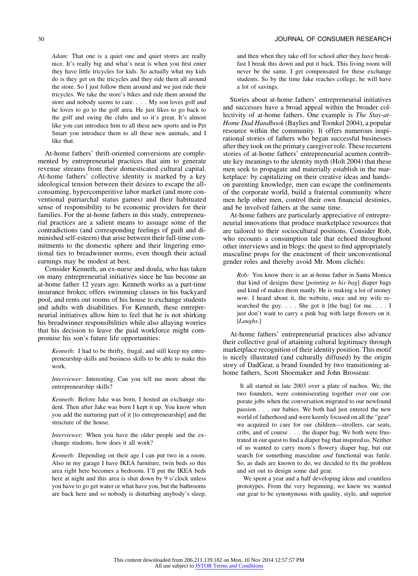*Adam:* That one is a quiet one and quiet stores are really nice. It's really big and what's neat is when you first enter they have little tricycles for kids. So actually what my kids do is they get on the tricycles and they ride them all around the store. So I just follow them around and we just ride their tricycles. We take the store's bikes and ride them around the store and nobody seems to care. . . . My son loves golf and he loves to go to the golf area. He just likes to go back to the golf and swing the clubs and so it's great. It's almost like you can introduce him to all these new sports and in Pet Smart you introduce them to all these new animals, and I like that.

At-home fathers' thrift-oriented conversions are complemented by entrepreneurial practices that aim to generate revenue streams from their domesticated cultural capital. At-home fathers' collective identity is marked by a key ideological tension between their desires to escape the allconsuming, hypercompetitive labor market (and more conventional patriarchal status games) and their habituated sense of responsibility to be economic providers for their families. For the at-home fathers in this study, entrepreneurial practices are a salient means to assuage some of the contradictions (and corresponding feelings of guilt and diminished self-esteem) that arise between their full-time commitments to the domestic sphere and their lingering emotional ties to breadwinner norms, even though their actual earnings may be modest at best.

Consider Kenneth, an ex-nurse and doula, who has taken on many entrepreneurial initiatives since he has become an at-home father 12 years ago. Kenneth works as a part-time insurance broker, offers swimming classes in his backyard pool, and rents out rooms of his house to exchange students and adults with disabilities. For Kenneth, these entrepreneurial initiatives allow him to feel that he is not shirking his breadwinner responsibilities while also allaying worries that his decision to leave the paid workforce might compromise his son's future life opportunities:

*Kenneth:* I had to be thrifty, frugal, and still keep my entrepreneurship skills and business skills to be able to make this work.

*Interviewer:* Interesting. Can you tell me more about the entrepreneurship skills?

*Kenneth:* Before Jake was born, I hosted an exchange student. Then after Jake was born I kept it up. You know when you add the nurturing part of it [to entrepreneurship] and the structure of the house.

*Interviewer:* When you have the older people and the exchange students, how does it all work?

*Kenneth:* Depending on their age I can put two in a room. Also in my garage I have IKEA furniture, twin beds so this area right here becomes a bedroom. I'll put the IKEA beds here at night and this area is shut down by 9 o'clock unless you have to go get water or what have you, but the bathrooms are back here and so nobody is disturbing anybody's sleep, and then when they take off for school after they have breakfast I break this down and put it back. This living room will never be the same. I get compensated for these exchange students. So by the time Jake reaches college, he will have a lot of savings.

Stories about at-home fathers' entrepreneurial initiatives and successes have a broad appeal within the broader collectivity of at-home fathers. One example is *The Stay-at-Home Dad Handbook* (Baylies and Toonkel 2004), a popular resource within the community. It offers numerous inspirational stories of fathers who began successful businesses after they took on the primary caregiver role. These recurrent stories of at-home fathers' entrepreneurial acumen contribute key meanings to the identity myth (Holt 2004) that these men seek to propagate and materially establish in the marketplace: by capitalizing on their creative ideas and handson parenting knowledge, men can escape the confinements of the corporate world, build a fraternal community where men help other men, control their own financial destinies, and be involved fathers at the same time.

At-home fathers are particularly appreciative of entrepreneurial innovations that produce marketplace resources that are tailored to their sociocultural positions. Consider Rob, who recounts a consumption tale that echoed throughout other interviews and in blogs: the quest to find appropriately masculine props for the enactment of their unconventional gender roles and thereby avoid Mr. Mom clichés:

*Rob:* You know there is an at-home father in Santa Monica that kind of designs these [*pointing to his bag*] diaper bags and kind of makes them manly. He is making a lot of money now. I heard about it, the website, once and my wife researched the guy. . . . She got it [the bag] for me. . . . I just don't want to carry a pink bag with large flowers on it. [*Laughs*.]

At-home fathers' entrepreneurial practices also advance their collective goal of attaining cultural legitimacy through marketplace recognition of their identity position. This motif is nicely illustrated (and culturally diffused) by the origin story of DadGear, a brand founded by two transitioning athome fathers, Scott Shoemaker and John Brosseau:

It all started in late 2003 over a plate of nachos. We, the two founders, were commiserating together over our corporate jobs when the conversation migrated to our newfound passion . . . our babies. We both had just entered the new world of fatherhood and were keenly focused on all the "gear" we acquired to care for our children—strollers, car seats, cribs, and of course . . . the diaper bag. We both were frustrated in our quest to find a diaper bag that inspired us. Neither of us wanted to carry mom's flowery diaper bag, but our search for something masculine *and* functional was futile. So, as dads are known to do, we decided to fix the problem and set out to design some dad gear.

We spent a year and a half developing ideas and countless prototypes. From the very beginning, we knew we wanted our gear to be synonymous with quality, style, and superior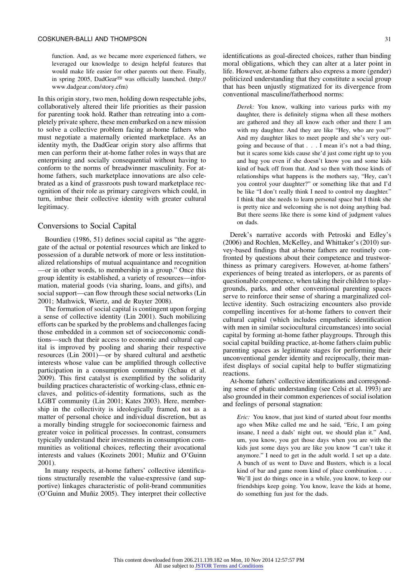function. And, as we became more experienced fathers, we leveraged our knowledge to design helpful features that would make life easier for other parents out there. Finally, in spring 2005, DadGear<sup>®</sup> was officially launched. [\(http://](http://www.dadgear.com/story.cfm) [www.dadgear.com/story.cfm\)](http://www.dadgear.com/story.cfm)

In this origin story, two men, holding down respectable jobs, collaboratively altered their life priorities as their passion for parenting took hold. Rather than retreating into a completely private sphere, these men embarked on a new mission to solve a collective problem facing at-home fathers who must negotiate a maternally oriented marketplace. As an identity myth, the DadGear origin story also affirms that men can perform their at-home father roles in ways that are enterprising and socially consequential without having to conform to the norms of breadwinner masculinity. For athome fathers, such marketplace innovations are also celebrated as a kind of grassroots push toward marketplace recognition of their role as primary caregivers which could, in turn, imbue their collective identity with greater cultural legitimacy.

## Conversions to Social Capital

Bourdieu (1986, 51) defines social capital as "the aggregate of the actual or potential resources which are linked to possession of a durable network of more or less institutionalized relationships of mutual acquaintance and recognition —or in other words, to membership in a group." Once this group identity is established, a variety of resources—information, material goods (via sharing, loans, and gifts), and social support—can flow through these social networks (Lin 2001; Mathwick, Wiertz, and de Ruyter 2008).

The formation of social capital is contingent upon forging a sense of collective identity (Lin 2001). Such mobilizing efforts can be sparked by the problems and challenges facing those embedded in a common set of socioeconomic conditions—such that their access to economic and cultural capital is improved by pooling and sharing their respective resources (Lin 2001)—or by shared cultural and aesthetic interests whose value can be amplified through collective participation in a consumption community (Schau et al. 2009). This first catalyst is exemplified by the solidarity building practices characteristic of working-class, ethnic enclaves, and politics-of-identity formations, such as the LGBT community (Lin 2001; Kates 2003). Here, membership in the collectivity is ideologically framed, not as a matter of personal choice and individual discretion, but as a morally binding struggle for socioeconomic fairness and greater voice in political processes. In contrast, consumers typically understand their investments in consumption communities as volitional choices, reflecting their avocational interests and values (Kozinets 2001; Muñiz and O'Guinn 2001).

In many respects, at-home fathers' collective identifications structurally resemble the value-expressive (and supportive) linkages characteristic of polit-brand communities (O'Guinn and Muñiz 2005). They interpret their collective identifications as goal-directed choices, rather than binding moral obligations, which they can alter at a later point in life. However, at-home fathers also express a more (gender) politicized understanding that they constitute a social group that has been unjustly stigmatized for its divergence from conventional masculine/fatherhood norms:

*Derek:* You know, walking into various parks with my daughter, there is definitely stigma when all these mothers are gathered and they all know each other and there I am with my daughter. And they are like "Hey, who are you?" And my daughter likes to meet people and she's very outgoing and because of that . . . I mean it's not a bad thing, but it scares some kids cause she'd just come right up to you and hug you even if she doesn't know you and some kids kind of back off from that. And so then with those kinds of relationships what happens is the mothers say, "Hey, can't you control your daughter?" or something like that and I'd be like "I don't really think I need to control my daughter." I think that she needs to learn personal space but I think she is pretty nice and welcoming she is not doing anything bad. But there seems like there is some kind of judgment values on dads.

Derek's narrative accords with Petroski and Edley's (2006) and Rochlen, McKelley, and Whittaker's (2010) survey-based findings that at-home fathers are routinely confronted by questions about their competence and trustworthiness as primary caregivers. However, at-home fathers' experiences of being treated as interlopers, or as parents of questionable competence, when taking their children to playgrounds, parks, and other conventional parenting spaces serve to reinforce their sense of sharing a marginalized collective identity. Such ostracizing encounters also provide compelling incentives for at-home fathers to convert their cultural capital (which includes empathetic identification with men in similar sociocultural circumstances) into social capital by forming at-home father playgroups. Through this social capital building practice, at-home fathers claim public parenting spaces as legitimate stages for performing their unconventional gender identity and reciprocally, their manifest displays of social capital help to buffer stigmatizing reactions.

At-home fathers' collective identifications and corresponding sense of phatic understanding (see Celsi et al. 1993) are also grounded in their common experiences of social isolation and feelings of personal stagnation:

*Eric:* You know, that just kind of started about four months ago when Mike called me and he said, "Eric, I am going insane, I need a dads' night out, we should plan it." And, um, you know, you get those days when you are with the kids just some days you are like you know "I can't take it anymore." I need to get in the adult world. I set up a date. A bunch of us went to Dave and Busters, which is a local kind of bar and game room kind of place combination. . . . We'll just do things once in a while, you know, to keep our friendships keep going. You know, leave the kids at home, do something fun just for the dads.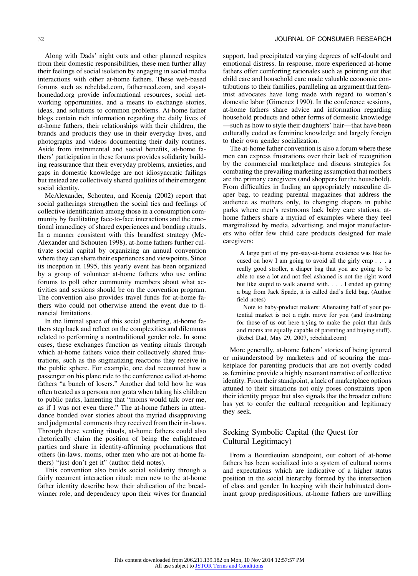Along with Dads' night outs and other planned respites from their domestic responsibilities, these men further allay their feelings of social isolation by engaging in social media interactions with other at-home fathers. These web-based forums such as rebeldad.com, fatherneed.com, and stayathomedad.org provide informational resources, social networking opportunities, and a means to exchange stories, ideas, and solutions to common problems. At-home father blogs contain rich information regarding the daily lives of at-home fathers, their relationships with their children, the brands and products they use in their everyday lives, and photographs and videos documenting their daily routines. Aside from instrumental and social benefits, at-home fathers' participation in these forums provides solidarity building reassurance that their everyday problems, anxieties, and gaps in domestic knowledge are not idiosyncratic failings but instead are collectively shared qualities of their emergent social identity.

McAlexander, Schouten, and Koenig (2002) report that social gatherings strengthen the social ties and feelings of collective identification among those in a consumption community by facilitating face-to-face interactions and the emotional immediacy of shared experiences and bonding rituals. In a manner consistent with this brandfest strategy (Mc-Alexander and Schouten 1998), at-home fathers further cultivate social capital by organizing an annual convention where they can share their experiences and viewpoints. Since its inception in 1995, this yearly event has been organized by a group of volunteer at-home fathers who use online forums to poll other community members about what activities and sessions should be on the convention program. The convention also provides travel funds for at-home fathers who could not otherwise attend the event due to financial limitations.

In the liminal space of this social gathering, at-home fathers step back and reflect on the complexities and dilemmas related to performing a nontraditional gender role. In some cases, these exchanges function as venting rituals through which at-home fathers voice their collectively shared frustrations, such as the stigmatizing reactions they receive in the public sphere. For example, one dad recounted how a passenger on his plane ride to the conference called at-home fathers "a bunch of losers." Another dad told how he was often treated as a persona non grata when taking his children to public parks, lamenting that "moms would talk over me, as if I was not even there." The at-home fathers in attendance bonded over stories about the myriad disapproving and judgmental comments they received from their in-laws. Through these venting rituals, at-home fathers could also rhetorically claim the position of being the enlightened parties and share in identity-affirming proclamations that others (in-laws, moms, other men who are not at-home fathers) "just don't get it" (author field notes).

This convention also builds social solidarity through a fairly recurrent interaction ritual: men new to the at-home father identity describe how their abdication of the breadwinner role, and dependency upon their wives for financial

support, had precipitated varying degrees of self-doubt and emotional distress. In response, more experienced at-home fathers offer comforting rationales such as pointing out that child care and household care made valuable economic contributions to their families, paralleling an argument that feminist advocates have long made with regard to women's domestic labor (Gimenez 1990). In the conference sessions, at-home fathers share advice and information regarding household products and other forms of domestic knowledge —such as how to style their daughters' hair—that have been culturally coded as feminine knowledge and largely foreign to their own gender socialization.

The at-home father convention is also a forum where these men can express frustrations over their lack of recognition by the commercial marketplace and discuss strategies for combating the prevailing marketing assumption that mothers are the primary caregivers (and shoppers for the household). From difficulties in finding an appropriately masculine diaper bag, to reading parental magazines that address the audience as mothers only, to changing diapers in public parks where men's restrooms lack baby care stations, athome fathers share a myriad of examples where they feel marginalized by media, advertising, and major manufacturers who offer few child care products designed for male caregivers:

A large part of my pre-stay-at-home existence was like focused on how I am going to avoid all the girly crap . . . a really good stroller, a diaper bag that you are going to be able to use a lot and not feel ashamed is not the right word but like stupid to walk around with. . . . I ended up getting a bag from Jack Spade, it is called dad's field bag. (Author field notes)

Note to baby-product makers: Alienating half of your potential market is not a right move for you (and frustrating for those of us out here trying to make the point that dads and moms are equally capable of parenting and buying stuff). (Rebel Dad, May 29, 2007, rebeldad.com)

More generally, at-home fathers' stories of being ignored or misunderstood by marketers and of scouring the marketplace for parenting products that are not overtly coded as feminine provide a highly resonant narrative of collective identity. From their standpoint, a lack of marketplace options attuned to their situations not only poses constraints upon their identity project but also signals that the broader culture has yet to confer the cultural recognition and legitimacy they seek.

# Seeking Symbolic Capital (the Quest for Cultural Legitimacy)

From a Bourdieuian standpoint, our cohort of at-home fathers has been socialized into a system of cultural norms and expectations which are indicative of a higher status position in the social hierarchy formed by the intersection of class and gender. In keeping with their habituated dominant group predispositions, at-home fathers are unwilling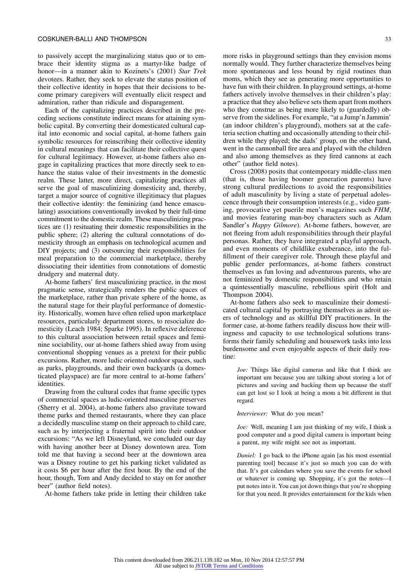to passively accept the marginalizing status quo or to embrace their identity stigma as a martyr-like badge of honor—in a manner akin to Kozinets's (2001) *Star Trek* devotees. Rather, they seek to elevate the status position of their collective identity in hopes that their decisions to become primary caregivers will eventually elicit respect and admiration, rather than ridicule and disparagement.

Each of the capitalizing practices described in the preceding sections constitute indirect means for attaining symbolic capital. By converting their domesticated cultural capital into economic and social capital, at-home fathers gain symbolic resources for reinscribing their collective identity in cultural meanings that can facilitate their collective quest for cultural legitimacy. However, at-home fathers also engage in capitalizing practices that more directly seek to enhance the status value of their investments in the domestic realm. These latter, more direct, capitalizing practices all serve the goal of masculinizing domesticity and, thereby, target a major source of cognitive illegitimacy that plagues their collective identity: the feminizing (and hence emasculating) associations conventionally invoked by their full-time commitment to the domestic realm. These masculinizing practices are (1) resituating their domestic responsibilities in the public sphere; (2) altering the cultural connotations of domesticity through an emphasis on technological acumen and DIY projects; and (3) outsourcing their responsibilities for meal preparation to the commercial marketplace, thereby dissociating their identities from connotations of domestic drudgery and maternal duty.

At-home fathers' first masculinizing practice, in the most pragmatic sense, strategically renders the public spaces of the marketplace, rather than private sphere of the home, as the natural stage for their playful performance of domesticity. Historically, women have often relied upon marketplace resources, particularly department stores, to resocialize domesticity (Leach 1984; Sparke 1995). In reflexive deference to this cultural association between retail spaces and feminine sociability, our at-home fathers shied away from using conventional shopping venues as a pretext for their public excursions. Rather, more ludic oriented outdoor spaces, such as parks, playgrounds, and their own backyards (a domesticated playspace) are far more central to at-home fathers' identities.

Drawing from the cultural codes that frame specific types of commercial spaces as ludic-oriented masculine preserves (Sherry et al. 2004), at-home fathers also gravitate toward theme parks and themed restaurants, where they can place a decidedly masculine stamp on their approach to child care, such as by interjecting a fraternal spirit into their outdoor excursions: "As we left Disneyland, we concluded our day with having another beer at Disney downtown area. Tom told me that having a second beer at the downtown area was a Disney routine to get his parking ticket validated as it costs \$6 per hour after the first hour. By the end of the hour, though, Tom and Andy decided to stay on for another beer" (author field notes).

At-home fathers take pride in letting their children take

more risks in playground settings than they envision moms normally would. They further characterize themselves being more spontaneous and less bound by rigid routines than moms, which they see as generating more opportunities to have fun with their children. In playground settings, at-home fathers actively involve themselves in their children's play: a practice that they also believe sets them apart from mothers who they construe as being more likely to (guardedly) observe from the sidelines. For example, "at a Jump'n Jammin' (an indoor children's playground), mothers sat at the cafeteria section chatting and occasionally attending to their children while they played; the dads' group, on the other hand, went in the cannonball fire area and played with the children and also among themselves as they fired cannons at each other" (author field notes).

Cross (2008) posits that contemporary middle-class men (that is, those having boomer generation parents) have strong cultural predilections to avoid the responsibilities of adult masculinity by living a state of perpetual adolescence through their consumption interests (e.g., video gaming, provocative yet puerile men's magazines such *FHM*, and movies featuring man-boy characters such as Adam Sandler's *Happy Gilmore*). At-home fathers, however, are not fleeing from adult responsibilities through their playful personas. Rather, they have integrated a playful approach, and even moments of childlike exuberance, into the fulfillment of their caregiver role. Through these playful and public gender performances, at-home fathers construct themselves as fun loving and adventurous parents, who are not feminized by domestic responsibilities and who retain a quintessentially masculine, rebellious spirit (Holt and Thompson 2004).

At-home fathers also seek to masculinize their domesticated cultural capital by portraying themselves as adroit users of technology and as skillful DIY practitioners. In the former case, at-home fathers readily discuss how their willingness and capacity to use technological solutions transforms their family scheduling and housework tasks into less burdensome and even enjoyable aspects of their daily routine:

*Joe:* Things like digital cameras and like that I think are important um because you are talking about storing a lot of pictures and saving and backing them up because the stuff can get lost so I look at being a mom a bit different in that regard.

#### *Interviewer:* What do you mean?

*Joe:* Well, meaning I am just thinking of my wife, I think a good computer and a good digital camera is important being a parent, my wife might see not as important.

*Daniel:* I go back to the iPhone again [as his most essential parenting tool] because it's just so much you can do with that. It's got calendars where you save the events for school or whatever is coming up. Shopping, it's got the notes—I put notes into it. You can jot down things that you're shopping for that you need. It provides entertainment for the kids when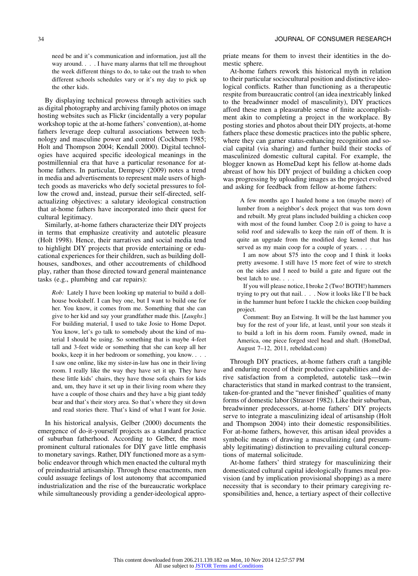need be and it's communication and information, just all the way around. . . . I have many alarms that tell me throughout the week different things to do, to take out the trash to when different schools schedules vary or it's my day to pick up the other kids.

By displaying technical prowess through activities such as digital photography and archiving family photos on image hosting websites such as Flickr (incidentally a very popular workshop topic at the at-home fathers' convention), at-home fathers leverage deep cultural associations between technology and masculine power and control (Cockburn 1985; Holt and Thompson 2004; Kendall 2000). Digital technologies have acquired specific ideological meanings in the postmillennial era that have a particular resonance for athome fathers. In particular, Dempsey (2009) notes a trend in media and advertisements to represent male users of hightech goods as mavericks who defy societal pressures to follow the crowd and, instead, pursue their self-directed, selfactualizing objectives: a salutary ideological construction that at-home fathers have incorporated into their quest for cultural legitimacy.

Similarly, at-home fathers characterize their DIY projects in terms that emphasize creativity and autotelic pleasure (Holt 1998). Hence, their narratives and social media tend to highlight DIY projects that provide entertaining or educational experiences for their children, such as building dollhouses, sandboxes, and other accoutrements of childhood play, rather than those directed toward general maintenance tasks (e.g., plumbing and car repairs):

*Rob:* Lately I have been looking up material to build a dollhouse bookshelf. I can buy one, but I want to build one for her. You know, it comes from me. Something that she can give to her kid and say your grandfather made this. [*Laughs*.] For building material, I used to take Josie to Home Depot. You know, let's go talk to somebody about the kind of material I should be using. So something that is maybe 4-feet tall and 3-feet wide or something that she can keep all her books, keep it in her bedroom or something, you know. . . . I saw one online, like my sister-in-law has one in their living room. I really like the way they have set it up. They have these little kids' chairs, they have those sofa chairs for kids and, um, they have it set up in their living room where they have a couple of those chairs and they have a big giant teddy bear and that's their story area. So that's where they sit down and read stories there. That's kind of what I want for Josie.

In his historical analysis, Gelber (2000) documents the emergence of do-it-yourself projects as a standard practice of suburban fatherhood. According to Gelber, the most prominent cultural rationales for DIY gave little emphasis to monetary savings. Rather, DIY functioned more as a symbolic endeavor through which men enacted the cultural myth of preindustrial artisanship. Through these enactments, men could assuage feelings of lost autonomy that accompanied industrialization and the rise of the bureaucratic workplace while simultaneously providing a gender-ideological appropriate means for them to invest their identities in the domestic sphere.

At-home fathers rework this historical myth in relation to their particular sociocultural position and distinctive ideological conflicts. Rather than functioning as a therapeutic respite from bureaucratic control (an idea inextricably linked to the breadwinner model of masculinity), DIY practices afford these men a pleasurable sense of finite accomplishment akin to completing a project in the workplace. By posting stories and photos about their DIY projects, at-home fathers place these domestic practices into the public sphere, where they can garner status-enhancing recognition and social capital (via sharing) and further build their stocks of masculinized domestic cultural capital. For example, the blogger known as HomeDad kept his fellow at-home dads abreast of how his DIY project of building a chicken coop was progressing by uploading images as the project evolved and asking for feedback from fellow at-home fathers:

A few months ago I hauled home a ton (maybe more) of lumber from a neighbor's deck project that was torn down and rebuilt. My great plans included building a chicken coop with most of the found lumber. Coop 2.0 is going to have a solid roof and sidewalls to keep the rain off of them. It is quite an upgrade from the modified dog kennel that has served as my main coop for a couple of years. . . .

I am now about \$75 into the coop and I think it looks pretty awesome. I still have 15 more feet of wire to stretch on the sides and I need to build a gate and figure out the best latch to use. . . .

If you will please notice, I broke 2 (Two! BOTH!) hammers trying to pry out that nail. . . . Now it looks like I'll be back in the hammer hunt before I tackle the chicken coop building project.

Comment: Buy an Estwing. It will be the last hammer you buy for the rest of your life, at least, until your son steals it to build a loft in his dorm room. Family owned, made in America, one piece forged steel head and shaft. (HomeDad, August 7–12, 2011, rebeldad.com)

Through DIY practices, at-home fathers craft a tangible and enduring record of their productive capabilities and derive satisfaction from a completed, autotelic task—twin characteristics that stand in marked contrast to the transient, taken-for-granted and the "never finished" qualities of many forms of domestic labor (Strasser 1982). Like their suburban, breadwinner predecessors, at-home fathers' DIY projects serve to integrate a masculinizing ideal of artisanship (Holt and Thompson 2004) into their domestic responsibilities. For at-home fathers, however, this artisan ideal provides a symbolic means of drawing a masculinizing (and presumably legitimating) distinction to prevailing cultural conceptions of maternal solicitude.

At-home fathers' third strategy for masculinizing their domesticated cultural capital ideologically frames meal provision (and by implication provisional shopping) as a mere necessity that is secondary to their primary caregiving responsibilities and, hence, a tertiary aspect of their collective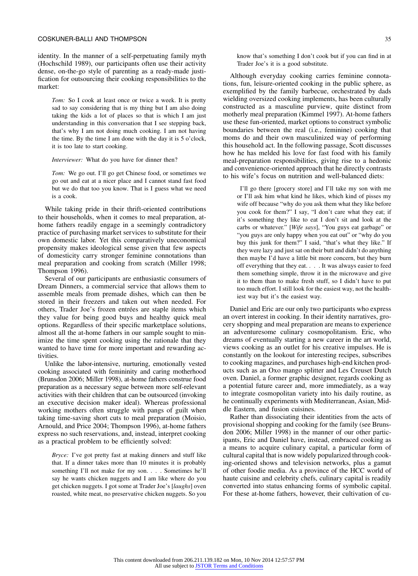#### COSKUNER-BALLI AND THOMPSON 35

identity. In the manner of a self-perpetuating family myth (Hochschild 1989), our participants often use their activity dense, on-the-go style of parenting as a ready-made justification for outsourcing their cooking responsibilities to the market:

*Tom:* So I cook at least once or twice a week. It is pretty sad to say considering that is my thing but I am also doing taking the kids a lot of places so that is which I am just understanding in this conversation that I see stepping back, that's why I am not doing much cooking. I am not having the time. By the time I am done with the day it is 5 o'clock, it is too late to start cooking.

*Interviewer:* What do you have for dinner then?

*Tom:* We go out. I'll go get Chinese food, or sometimes we go out and eat at a nicer place and I cannot stand fast food but we do that too you know. That is I guess what we need is a cook.

While taking pride in their thrift-oriented contributions to their households, when it comes to meal preparation, athome fathers readily engage in a seemingly contradictory practice of purchasing market services to substitute for their own domestic labor. Yet this comparatively uneconomical propensity makes ideological sense given that few aspects of domesticity carry stronger feminine connotations than meal preparation and cooking from scratch (Miller 1998; Thompson 1996).

Several of our participants are enthusiastic consumers of Dream Dinners, a commercial service that allows them to assemble meals from premade dishes, which can then be stored in their freezers and taken out when needed. For others, Trader Joe's frozen entrées are staple items which they value for being good buys and healthy quick meal options. Regardless of their specific marketplace solutions, almost all the at-home fathers in our sample sought to minimize the time spent cooking using the rationale that they wanted to have time for more important and rewarding activities.

Unlike the labor-intensive, nurturing, emotionally vested cooking associated with femininity and caring motherhood (Brunsdon 2006; Miller 1998), at-home fathers construe food preparation as a necessary segue between more self-relevant activities with their children that can be outsourced (invoking an executive decision maker ideal). Whereas professional working mothers often struggle with pangs of guilt when taking time-saving short cuts to meal preparation (Moisio, Arnould, and Price 2004; Thompson 1996), at-home fathers express no such reservations, and, instead, interpret cooking as a practical problem to be efficiently solved:

*Bryce:* I've got pretty fast at making dinners and stuff like that. If a dinner takes more than 10 minutes it is probably something I'll not make for my son. . . . Sometimes he'll say he wants chicken nuggets and I am like where do you get chicken nuggets. I got some at Trader Joe's [*laughs*] oven roasted, white meat, no preservative chicken nuggets. So you

know that's something I don't cook but if you can find in at Trader Joe's it is a good substitute.

Although everyday cooking carries feminine connotations, fun, leisure-oriented cooking in the public sphere, as exemplified by the family barbecue, orchestrated by dads wielding oversized cooking implements, has been culturally constructed as a masculine purview, quite distinct from motherly meal preparation (Kimmel 1997). At-home fathers use these fun-oriented, market options to construct symbolic boundaries between the real (i.e., feminine) cooking that moms do and their own masculinized way of performing this household act. In the following passage, Scott discusses how he has melded his love for fast food with his family meal-preparation responsibilities, giving rise to a hedonic and convenience-oriented approach that he directly contrasts to his wife's focus on nutrition and well-balanced diets:

I'll go there [grocery store] and I'll take my son with me or I'll ask him what kind he likes, which kind of pisses my wife off because "why do you ask them what they like before you cook for them?" I say, "I don't care what they eat; if it's something they like to eat I don't sit and look at the carbs or whatever." [*Wife says*], "You guys eat garbage" or "you guys are only happy when you eat out" or "why do you buy this junk for them?" I said, "that's what they like." If they were lazy and just sat on their butt and didn't do anything then maybe I'd have a little bit more concern, but they burn off everything that they eat. . . . It was always easier to feed them something simple, throw it in the microwave and give it to them than to make fresh stuff, so I didn't have to put too much effort. I still look for the easiest way, not the healthiest way but it's the easiest way.

Daniel and Eric are our only two participants who express an overt interest in cooking. In their identity narratives, grocery shopping and meal preparation are means to experience an adventuresome culinary cosmopolitanism. Eric, who dreams of eventually starting a new career in the art world, views cooking as an outlet for his creative impulses. He is constantly on the lookout for interesting recipes, subscribes to cooking magazines, and purchases high-end kitchen products such as an Oxo mango splitter and Les Creuset Dutch oven. Daniel, a former graphic designer, regards cooking as a potential future career and, more immediately, as a way to integrate cosmopolitan variety into his daily routine, as he continually experiments with Mediterranean, Asian, Middle Eastern, and fusion cuisines.

Rather than dissociating their identities from the acts of provisional shopping and cooking for the family (see Brunsdon 2006; Miller 1998) in the manner of our other participants, Eric and Daniel have, instead, embraced cooking as a means to acquire culinary capital, a particular form of cultural capital that is now widely popularized through cooking-oriented shows and television networks, plus a gamut of other foodie media. As a province of the HCC world of haute cuisine and celebrity chefs, culinary capital is readily converted into status enhancing forms of symbolic capital. For these at-home fathers, however, their cultivation of cu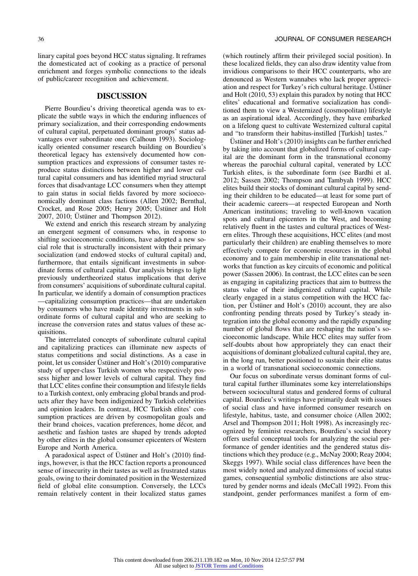linary capital goes beyond HCC status signaling. It reframes the domesticated act of cooking as a practice of personal enrichment and forges symbolic connections to the ideals of public/career recognition and achievement.

#### **DISCUSSION**

Pierre Bourdieu's driving theoretical agenda was to explicate the subtle ways in which the enduring influences of primary socialization, and their corresponding endowments of cultural capital, perpetuated dominant groups' status advantages over subordinate ones (Calhoun 1993). Sociologically oriented consumer research building on Bourdieu's theoretical legacy has extensively documented how consumption practices and expressions of consumer tastes reproduce status distinctions between higher and lower cultural capital consumers and has identified myriad structural forces that disadvantage LCC consumers when they attempt to gain status in social fields favored by more socioeconomically dominant class factions (Allen 2002; Bernthal, Crocket, and Rose 2005; Henry 2005; Üstüner and Holt 2007, 2010; Üstüner and Thompson 2012).

We extend and enrich this research stream by analyzing an emergent segment of consumers who, in response to shifting socioeconomic conditions, have adopted a new social role that is structurally inconsistent with their primary socialization (and endowed stocks of cultural capital) and, furthermore, that entails significant investments in subordinate forms of cultural capital. Our analysis brings to light previously undertheorized status implications that derive from consumers' acquisitions of subordinate cultural capital. In particular, we identify a domain of consumption practices —capitalizing consumption practices—that are undertaken by consumers who have made identity investments in subordinate forms of cultural capital and who are seeking to increase the conversion rates and status values of these acquisitions.

The interrelated concepts of subordinate cultural capital and capitalizing practices can illuminate new aspects of status competitions and social distinctions. As a case in point, let us consider Üstüner and Holt's (2010) comparative study of upper-class Turkish women who respectively possess higher and lower levels of cultural capital. They find that LCC elites confine their consumption and lifestyle fields to a Turkish context, only embracing global brands and products after they have been indigenized by Turkish celebrities and opinion leaders. In contrast, HCC Turkish elites' consumption practices are driven by cosmopolitan goals and their brand choices, vacation preferences, home décor, and aesthetic and fashion tastes are shaped by trends adopted by other elites in the global consumer epicenters of Western Europe and North America.

A paradoxical aspect of Ustuner and Holt's (2010) findings, however, is that the HCC faction reports a pronounced sense of insecurity in their tastes as well as frustrated status goals, owing to their dominated position in the Westernized field of global elite consumption. Conversely, the LCCs remain relatively content in their localized status games

(which routinely affirm their privileged social position). In these localized fields, they can also draw identity value from invidious comparisons to their HCC counterparts, who are denounced as Western wannabes who lack proper appreciation and respect for Turkey's rich cultural heritage. Ustüner and Holt (2010, 53) explain this paradox by noting that HCC elites' educational and formative socialization has conditioned them to view a Westernized (cosmopolitan) lifestyle as an aspirational ideal. Accordingly, they have embarked on a lifelong quest to cultivate Westernized cultural capital and "to transform their habitus-instilled [Turkish] tastes."

Ustüner and Holt's  $(2010)$  insights can be further enriched by taking into account that globalized forms of cultural capital are the dominant form in the transnational economy whereas the parochial cultural capital, venerated by LCC Turkish elites, is the subordinate form (see Bardhi et al. 2012; Sassen 2002; Thompson and Tambyah 1999). HCC elites build their stocks of dominant cultural capital by sending their children to be educated—at least for some part of their academic careers—at respected European and North American institutions; traveling to well-known vacation spots and cultural epicenters in the West, and becoming relatively fluent in the tastes and cultural practices of Western elites. Through these acquisitions, HCC elites (and most particularly their children) are enabling themselves to more effectively compete for economic resources in the global economy and to gain membership in elite transnational networks that function as key circuits of economic and political power (Sassen 2006). In contrast, the LCC elites can be seen as engaging in capitalizing practices that aim to buttress the status value of their indigenized cultural capital. While clearly engaged in a status competition with the HCC faction, per Üstüner and Holt's  $(2010)$  account, they are also confronting pending threats posed by Turkey's steady integration into the global economy and the rapidly expanding number of global flows that are reshaping the nation's socioeconomic landscape. While HCC elites may suffer from self-doubts about how appropriately they can enact their acquisitions of dominant globalized cultural capital, they are, in the long run, better positioned to sustain their elite status in a world of transnational socioeconomic connections.

Our focus on subordinate versus dominant forms of cultural capital further illuminates some key interrelationships between sociocultural status and gendered forms of cultural capital. Bourdieu's writings have primarily dealt with issues of social class and have informed consumer research on lifestyle, habitus, taste, and consumer choice (Allen 2002; Arsel and Thompson 2011; Holt 1998). As increasingly recognized by feminist researchers, Bourdieu's social theory offers useful conceptual tools for analyzing the social performance of gender identities and the gendered status distinctions which they produce (e.g., McNay 2000; Reay 2004; Skeggs 1997). While social class differences have been the most widely noted and analyzed dimensions of social status games, consequential symbolic distinctions are also structured by gender norms and ideals (McCall 1992). From this standpoint, gender performances manifest a form of em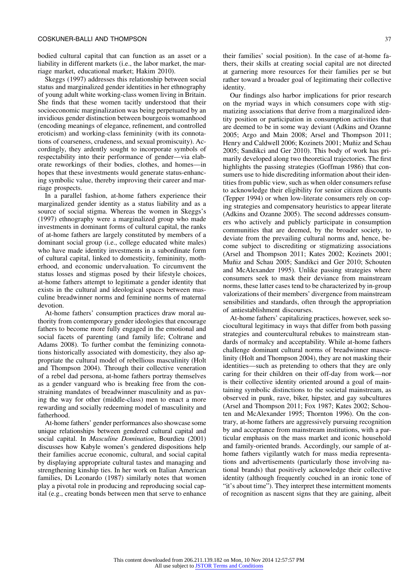bodied cultural capital that can function as an asset or a liability in different markets (i.e., the labor market, the marriage market, educational market; Hakim 2010).

Skeggs (1997) addresses this relationship between social status and marginalized gender identities in her ethnography of young adult white working-class women living in Britain. She finds that these women tacitly understood that their socioeconomic marginalization was being perpetuated by an invidious gender distinction between bourgeois womanhood (encoding meanings of elegance, refinement, and controlled eroticism) and working-class femininity (with its connotations of coarseness, crudeness, and sexual promiscuity). Accordingly, they ardently sought to incorporate symbols of respectability into their performance of gender—via elaborate reworkings of their bodies, clothes, and homes—in hopes that these investments would generate status-enhancing symbolic value, thereby improving their career and marriage prospects.

In a parallel fashion, at-home fathers experience their marginalized gender identity as a status liability and as a source of social stigma. Whereas the women in Skeggs's (1997) ethnography were a marginalized group who made investments in dominant forms of cultural capital, the ranks of at-home fathers are largely constituted by members of a dominant social group (i.e., college educated white males) who have made identity investments in a subordinate form of cultural capital, linked to domesticity, femininity, motherhood, and economic undervaluation. To circumvent the status losses and stigmas posed by their lifestyle choices, at-home fathers attempt to legitimate a gender identity that exists in the cultural and ideological spaces between masculine breadwinner norms and feminine norms of maternal devotion.

At-home fathers' consumption practices draw moral authority from contemporary gender ideologies that encourage fathers to become more fully engaged in the emotional and social facets of parenting (and family life; Coltrane and Adams 2008). To further combat the feminizing connotations historically associated with domesticity, they also appropriate the cultural model of rebellious masculinity (Holt and Thompson 2004). Through their collective veneration of a rebel dad persona, at-home fathers portray themselves as a gender vanguard who is breaking free from the constraining mandates of breadwinner masculinity and as paving the way for other (middle-class) men to enact a more rewarding and socially redeeming model of masculinity and fatherhood.

At-home fathers' gender performances also showcase some unique relationships between gendered cultural capital and social capital. In *Masculine Domination*, Bourdieu (2001) discusses how Kabyle women's gendered dispositions help their families accrue economic, cultural, and social capital by displaying appropriate cultural tastes and managing and strengthening kinship ties. In her work on Italian American families, Di Leonardo (1987) similarly notes that women play a pivotal role in producing and reproducing social capital (e.g., creating bonds between men that serve to enhance

their families' social position). In the case of at-home fathers, their skills at creating social capital are not directed at garnering more resources for their families per se but rather toward a broader goal of legitimating their collective identity.

Our findings also harbor implications for prior research on the myriad ways in which consumers cope with stigmatizing associations that derive from a marginalized identity position or participation in consumption activities that are deemed to be in some way deviant (Adkins and Ozanne 2005; Argo and Main 2008; Arsel and Thompson 2011; Henry and Caldwell 2006; Kozinets 2001; Muñiz and Schau 2005; Sandikci and Ger 2010). This body of work has primarily developed along two theoretical trajectories. The first highlights the passing strategies (Goffman 1986) that consumers use to hide discrediting information about their identities from public view, such as when older consumers refuse to acknowledge their eligibility for senior citizen discounts (Tepper 1994) or when low-literate consumers rely on coping strategies and compensatory heuristics to appear literate (Adkins and Ozanne 2005). The second addresses consumers who actively and publicly participate in consumption communities that are deemed, by the broader society, to deviate from the prevailing cultural norms and, hence, become subject to discrediting or stigmatizing associations (Arsel and Thompson 2011; Kates 2002; Kozinets 2001; Muñiz and Schau 2005; Sandikci and Ger 2010; Schouten and McAlexander 1995). Unlike passing strategies where consumers seek to mask their deviance from mainstream norms, these latter cases tend to be characterized by in-group valorizations of their members' divergence from mainstream sensibilities and standards, often through the appropriation of antiestablishment discourses.

At-home fathers' capitalizing practices, however, seek sociocultural legitimacy in ways that differ from both passing strategies and countercultural rebukes to mainstream standards of normalcy and acceptability. While at-home fathers challenge dominant cultural norms of breadwinner masculinity (Holt and Thompson 2004), they are not masking their identities—such as pretending to others that they are only caring for their children on their off-day from work—nor is their collective identity oriented around a goal of maintaining symbolic distinctions to the societal mainstream, as observed in punk, rave, biker, hipster, and gay subcultures (Arsel and Thompson 2011; Fox 1987; Kates 2002; Schouten and McAlexander 1995; Thornton 1996). On the contrary, at-home fathers are aggressively pursuing recognition by and acceptance from mainstream institutions, with a particular emphasis on the mass market and iconic household and family-oriented brands. Accordingly, our sample of athome fathers vigilantly watch for mass media representations and advertisements (particularly those involving national brands) that positively acknowledge their collective identity (although frequently couched in an ironic tone of "it's about time"). They interpret these intermittent moments of recognition as nascent signs that they are gaining, albeit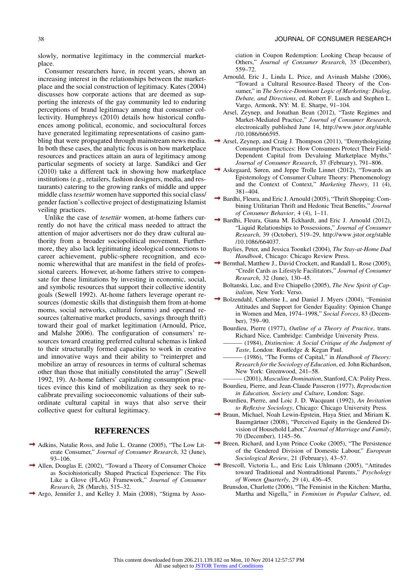slowly, normative legitimacy in the commercial marketplace.

Consumer researchers have, in recent years, shown an increasing interest in the relationships between the marketplace and the social construction of legitimacy. Kates (2004) discusses how corporate actions that are deemed as supporting the interests of the gay community led to enduring perceptions of brand legitimacy among that consumer collectivity. Humphreys (2010) details how historical confluences among political, economic, and sociocultural forces have generated legitimating representations of casino gambling that were propagated through mainstream news media. In both these cases, the analytic focus is on how marketplace resources and practices attain an aura of legitimacy among particular segments of society at large. Sandikci and Ger (2010) take a different tack in showing how marketplace institutions (e.g., retailers, fashion designers, media, and restaurants) catering to the growing ranks of middle and upper middle class *tesettür* women have supported this social class/ gender faction's collective project of destigmatizing Islamist veiling practices.

Unlike the case of *tesettür* women, at-home fathers currently do not have the critical mass needed to attract the attention of major advertisers nor do they draw cultural authority from a broader sociopolitical movement. Furthermore, they also lack legitimating ideological connections to career achievement, public-sphere recognition, and economic wherewithal that are manifest in the field of professional careers. However, at-home fathers strive to compensate for these limitations by investing in economic, social, and symbolic resources that support their collective identity goals (Sewell 1992). At-home fathers leverage operant resources (domestic skills that distinguish them from at-home moms, social networks, cultural forums) and operand resources (alternative market products, savings through thrift) toward their goal of market legitimation (Arnould, Price, and Malshe 2006). The configuration of consumers' resources toward creating preferred cultural schemas is linked to their structurally formed capacities to work in creative and innovative ways and their ability to "reinterpret and mobilize an array of resources in terms of cultural schemas other than those that initially constituted the array" (Sewell 1992, 19). At-home fathers' capitalizing consumption practices evince this kind of mobilization as they seek to recalibrate prevailing socioeconomic valuations of their subordinate cultural capital in ways that also serve their collective quest for cultural legitimacy.

## **REFERENCES**

- Adkins, Natalie Ross, and Julie L. Ozanne (2005), "The Low Literate Consumer," *Journal of Consumer Research*, 32 (June), 93–106.
- Allen, Douglas E. (2002), "Toward a Theory of Consumer Choice as Sociohistorically Shaped Practical Experience: The Fits Like a Glove (FLAG) Framework," *Journal of Consumer Research*, 28 (March), 515–32.
- Argo, Jennifer J., and Kelley J. Main (2008), "Stigma by Asso-

ciation in Coupon Redemption: Looking Cheap because of Others," *Journal of Consumer Research*, 35 (December), 559–72.

- Arnould, Eric J., Linda L. Price, and Avinash Malshe (2006), "Toward a Cultural Resource-Based Theory of the Consumer," in *The Service-Dominant Logic of Marketing: Dialog, Debate, and Directions*, ed. Robert F. Lusch and Stephen L. Vargo, Armonk, NY: M. E. Sharpe, 91–104.
- Arsel, Zeynep, and Jonathan Bean (2012), "Taste Regimes and Market-Mediated Practice," *Journal of Consumer Research*, electronically published June 14, [http://www.jstor.org/stable](http://www.jstor.org/stable/10.1086/666595) [/10.1086/666595.](http://www.jstor.org/stable/10.1086/666595)
- Arsel, Zeynep, and Craig J. Thompson (2011), "Demythologizing Consumption Practices: How Consumers Protect Their Field-Dependent Capital from Devaluing Marketplace Myths," *Journal of Consumer Research*, 37 (February), 791–806.
- Askegaard, Søren, and Jeppe Trolle Linnet (2012), "Towards an Epistemology of Consumer Culture Theory: Phenomenology and the Context of Context," *Marketing Theory*, 11 (4), 381–404.
- → Bardhi, Fleura, and Eric J. Arnould (2005), "Thrift Shopping: Combining Utilitarian Thrift and Hedonic Treat Benefits," *Journal of Consumer Behavior*, 4 (4), 1–11.
- Bardhi, Fleura, Giana M. Eckhardt, and Eric J. Arnould (2012), "Liquid Relationships to Possessions," *Journal of Consumer Research*, 39 (October), 519–29, [http://www.jstor.org/stable](http://www.jstor.org/stable/10.1086/664037) [/10.1086/664037.](http://www.jstor.org/stable/10.1086/664037)
	- Baylies, Peter, and Jessica Toonkel (2004), *The Stay-at-Home Dad Handbook*, Chicago: Chicago Review Press.
- Bernthal, Matthew J., David Crockett, and Randall L. Rose (2005), "Credit Cards as Lifestyle Facilitators," *Journal of Consumer Research*, 32 (June), 130–45.
	- Boltanski, Luc, and Eve Chiapello (2005), *The New Spirit of Capitalism*, New York: Verso.
- Bolzendahl, Catherine I., and Daniel J. Myers (2004), "Feminist Attitudes and Support for Gender Equality: Opinion Change in Women and Men, 1974–1998," *Social Forces*, 83 (December), 759–90.
	- Bourdieu, Pierre (1977), *Outline of a Theory of Practice*, trans. Richard Nice, Cambridge: Cambridge University Press.
	- ——— (1984), *Distinction: A Social Critique of the Judgment of Taste*, London: Routledge & Kegan Paul.
	- ——— (1986), "The Forms of Capital," in *Handbook of Theory: Research for the Sociology of Education*, ed. John Richardson, New York: Greenwood, 241–58.
	- ——— (2001), *Masculine Domination*, Stanford, CA: Polity Press.
	- Bourdieu, Pierre, and Jean-Claude Passeron (1977), *Reproduction in Education, Society and Culture*, London: Sage.
	- Bourdieu, Pierre, and Loic J. D. Wacquant (1992), *An Invitation to Reflexive Sociology*, Chicago: Chicago University Press.
- Braun, Michael, Noah Lewin-Epstein, Haya Stier, and Miriam K. Baumgärtner (2008), "Perceived Equity in the Gendered Division of Household Labor," *Journal of Marriage and Family*, 70 (December), 1145–56.
- Breen, Richard, and Lynn Prince Cooke (2005), "The Persistence of the Gendered Division of Domestic Labour," *European Sociological Review*, 21 (February), 43–57.
- Brescoll, Victoria L., and Eric Luis Uhlmann (2005), "Attitudes toward Traditional and Nontraditional Parents," *Psychology of Women Quarterly*, 29 (4), 436–45.
	- Brunsdon, Charlotte (2006), "The Feminist in the Kitchen: Martha, Martha and Nigella," in *Feminism in Popular Culture*, ed.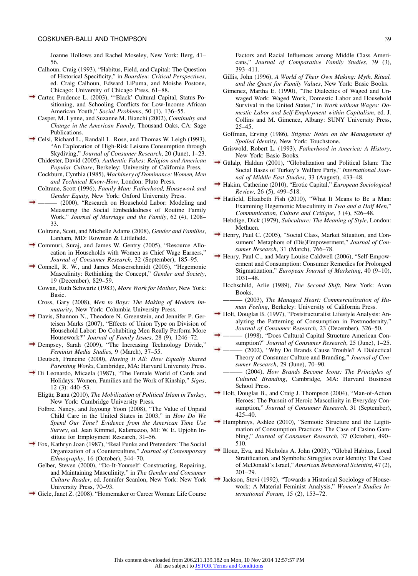Joanne Hollows and Rachel Moseley, New York: Berg, 41– 56.

- Calhoun, Craig (1993), "Habitus, Field, and Capital: The Question of Historical Specificity," in *Bourdieu: Critical Perspectives*, ed. Craig Calhoun, Edward LiPuma, and Moishe Postone, Chicago: University of Chicago Press, 61–88.
- Carter, Prudence L. (2003), "'Black' Cultural Capital, Status Positioning, and Schooling Conflicts for Low-Income African American Youth," *Social Problems*, 50 (1), 136–55.
	- Casper, M. Lynne, and Suzanne M. Bianchi (2002), *Continuity and Change in the American Family*, Thousand Oaks, CA: Sage Publications.
- Celsi, Richard L., Randall L. Rose, and Thomas W. Leigh (1993), "An Exploration of High-Risk Leisure Consumption through Skydiving," *Journal of Consumer Research*, 20 (June), 1–23.
	- Chidester, David (2005), *Authentic Fakes: Religion and American Popular Culture*, Berkeley: University of California Press.
	- Cockburn, Cynthia (1985), *Machinery of Dominance: Women, Men and Technical Know-How*, London: Pluto Press.
	- Coltrane, Scott (1996), *Family Man: Fatherhood, Housework and Gender Equity*, New York: Oxford University Press.
	- (2000), "Research on Household Labor: Modeling and Measuring the Social Embeddedness of Routine Family Work," *Journal of Marriage and the Family*, 62 (4), 1208– 33.
	- Coltrane, Scott, and Michelle Adams (2008), *Gender and Families*, Lanham, MD: Rowman & Littlefield.
- Commuri, Suraj, and James W. Gentry (2005), "Resource Allocation in Households with Women as Chief Wage Earners,' *Journal of Consumer Research*, 32 (September), 185–95.
- Connell, R. W., and James Messerschmidt (2005), "Hegemonic Masculinity: Rethinking the Concept," *Gender and Society*, 19 (December), 829–59.
	- Cowan, Ruth Schwartz (1983), *More Work for Mother*, New York: Basic.
	- Cross, Gary (2008), *Men to Boys: The Making of Modern Immaturity*, New York: Columbia University Press.
- Davis, Shannon N., Theodore N. Greenstein, and Jennifer P. Gerteisen Marks (2007), "Effects of Union Type on Division of Household Labor: Do Cohabiting Men Really Perform More Housework?" *Journal of Family Issues*, 28 (9), 1246–72.
- Dempsey, Sarah (2009), "The Increasing Technology Divide," *Feminist Media Studies*, 9 (March), 37–55.
	- Deutsch, Francine (2000), *Having It All: How Equally Shared Parenting Works*, Cambridge, MA: Harvard University Press.
- Di Leonardo, Micaela (1987), "The Female World of Cards and Holidays: Women, Families and the Work of Kinship," *Signs*, 12 (3): 440–53.
	- Eligür, Banu (2010), *The Mobilization of Political Islam in Turkey*, New York: Cambridge University Press.
	- Folbre, Nancy, and Jayoung Yoon (2008), "The Value of Unpaid Child Care in the United States in 2003," in *How Do We Spend Our Time? Evidence from the American Time Use Survey*, ed. Jean Kimmel, Kalamazoo, MI: W. E. Upjohn Institute for Employment Research, 31–56.
- Fox, Kathryn Joan (1987), "Real Punks and Pretenders: The Social Organization of a Counterculture," *Journal of Contemporary Ethnography*, 16 (October), 344–70.
	- Gelber, Steven (2000), "Do-It-Yourself: Constructing, Repairing, and Maintaining Masculinity," in *The Gender and Consumer Culture Reader*, ed. Jennifer Scanlon, New York: New York University Press, 70–93.
- Giele, Janet Z. (2008). "Homemaker or Career Woman: Life Course

Factors and Racial Influences among Middle Class Americans," *Journal of Comparative Family Studies*, 39 (3), 393–411.

- Gillis, John (1996), *A World of Their Own Making: Myth, Ritual, and the Quest for Family Values*, New York: Basic Books.
- Gimenez, Martha E. (1990), "The Dialectics of Waged and Unwaged Work: Waged Work, Domestic Labor and Household Survival in the United States," in *Work without Wages: Domestic Labor and Self-Employment within Capitalism*, ed. J. Collins and M. Gimenez, Albany: SUNY University Press,  $25-45.$
- Goffman, Erving (1986), *Stigma: Notes on the Management of Spoiled Identity*, New York: Touchstone.
- Griswold, Robert L. (1993), *Fatherhood in America: A History*, New York: Basic Books.
- $\rightarrow$  Gülalp, Haldun (2001), "Globalization and Political Islam: The Social Bases of Turkey's Welfare Party," *International Journal of Middle East Studies*, 33 (August), 433–48.
- Hakim, Catherine (2010), "Erotic Capital," *European Sociological Review*, 26 (5), 499–518.
- $\rightarrow$  Hatfield, Elizabeth Fish (2010), "What It Means to Be a Man: Examining Hegemonic Masculinity in *Two and a Half Men*," *Communication, Culture and Critique*, 3 (4), 526–48.
	- Hebdige, Dick (1979), *Subculture: The Meaning of Style*, London: Methuen.
- Henry, Paul C. (2005), "Social Class, Market Situation, and Consumers' Metaphors of (Dis)Empowerment," *Journal of Consumer Research*, 31 (March), 766–78.
- Henry, Paul C., and Mary Louise Caldwell (2006), "Self-Empowerment and Consumption: Consumer Remedies for Prolonged Stigmatization," *European Journal of Marketing*, 40 (9–10), 1031–48.
	- Hochschild, Arlie (1989), *The Second Shift*, New York: Avon Books.
- (2003), The Managed Heart: Commercialization of Hu*man Feeling*, Berkeley: University of California Press.
- Holt, Douglas B. (1997), "Poststructuralist Lifestyle Analysis: Analyzing the Patterning of Consumption in Postmodernity,' *Journal of Consumer Research*, 23 (December), 326–50.
- (1998), "Does Cultural Capital Structure American Consumption?" *Journal of Consumer Research*, 25 (June), 1–25.
- ——— (2002), "Why Do Brands Cause Trouble? A Dialectical Theory of Consumer Culture and Branding," *Journal of Consumer Research*, 29 (June), 70–90.
- (2004), *How Brands Become Icons: The Principles of Cultural Branding*, Cambridge, MA: Harvard Business School Press.
- Holt, Douglas B., and Craig J. Thompson (2004), "Man-of-Action Heroes: The Pursuit of Heroic Masculinity in Everyday Consumption," *Journal of Consumer Research*, 31 (September), 425–40.
- Humphreys, Ashlee (2010), "Semiotic Structure and the Legitimation of Consumption Practices: The Case of Casino Gambling," *Journal of Consumer Research*, 37 (October), 490– 510.
- Illouz, Eva, and Nicholas A. John (2003), "Global Habitus, Local Stratification, and Symbolic Struggles over Identity: The Case of McDonald's Israel," *American Behavioral Scientist*, 47 (2), 201–29.
- Jackson, Stevi (1992), "Towards a Historical Sociology of Housework: A Material Feminist Analysis," *Women's Studies International Forum*, 15 (2), 153–72.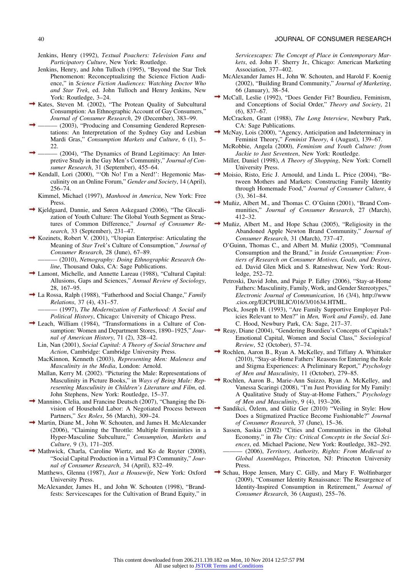- Jenkins, Henry (1992), *Textual Poachers: Television Fans and Participatory Culture*, New York: Routledge.
- Jenkins, Henry, and John Tulloch (1995), "Beyond the Star Trek Phenomenon: Reconceptualizing the Science Fiction Audience," in *Science Fiction Audiences: Watching Doctor Who and Star Trek*, ed. John Tulloch and Henry Jenkins, New York: Routledge, 3–24.
- Kates, Steven M. (2002), "The Protean Quality of Subcultural Consumption: An Ethnographic Account of Gay Consumers," *Journal of Consumer Research*, 29 (December), 383–99.
- $-$  (2003), "Producing and Consuming Gendered Representations: An Interpretation of the Sydney Gay and Lesbian Mardi Gras," *Consumption Markets and Culture*, 6 (1), 5– 22.
- ——— (2004), "The Dynamics of Brand Legitimacy: An Interpretive Study in the Gay Men's Community," *Journal of Consumer Research*, 31 (September), 455–64.
- Kendall, Lori (2000), "'Oh No! I'm a Nerd!': Hegemonic Masculinity on an Online Forum," *Gender and Society*, 14 (April), 256–74.
	- Kimmel, Michael (1997), *Manhood in America*, New York: Free Press.
- Kjeldgaard, Dannie, and Søren Askegaard (2006), "The Glocalization of Youth Culture: The Global Youth Segment as Structures of Common Difference," *Journal of Consumer Research*, 33 (September), 231–47.
- Kozinets, Robert V. (2001), "Utopian Enterprise: Articulating the Meaning of *Star Trek*'s Culture of Consumption," *Journal of Consumer Research*, 28 (June), 67–89.
	- $-$  (2010), *Netnography: Doing Ethnographic Research Online*, Thousand Oaks, CA: Sage Publications.
- Lamont, Michelle, and Annette Lareau (1988), "Cultural Capital: Allusions, Gaps and Sciences," *Annual Review of Sociology*, 28, 167–95.
- La Rossa, Ralph (1988), "Fatherhood and Social Change," *Family Relations*, 37 (4), 431–57.
	- ——— (1997), *The Modernization of Fatherhood: A Social and Political History*, Chicago: University of Chicago Press.
- Leach, William (1984), "Transformations in a Culture of Consumption: Women and Department Stores, 1890–1925," *Journal of American History*, 71 (2), 328–42.
	- Lin, Nan (2001), *Social Capital: A Theory of Social Structure and Action*, Cambridge: Cambridge University Press.
	- MacKinnon, Kenneth (2003), *Representing Men: Maleness and Masculinity in the Media*, London: Arnold.
	- Mallan, Kerry M. (2002). "Picturing the Male: Representations of Masculinity in Picture Books," in *Ways of Being Male: Representing Masculinity in Children's Literature and Film*, ed. John Stephens, New York: Routledge, 15–37.
- Mannino, Clelia, and Francine Deutsch (2007), "Changing the Division of Household Labor: A Negotiated Process between Partners," *Sex Roles*, 56 (March), 309–24.
- Martin, Diane M., John W. Schouten, and James H. McAlexander (2006), "Claiming the Throttle: Multiple Femininities in a Hyper-Masculine Subculture," *Consumption, Markets and Culture*, 9 (3), 171–205.
- Mathwick, Charla, Caroline Wiertz, and Ko de Ruyter (2008), "Social Capital Production in a Virtual P3 Community," *Journal of Consumer Research*, 34 (April), 832–49.
	- Matthews, Glenna (1987), *Just a Housewife*, New York: Oxford University Press.
	- McAlexander, James H., and John W. Schouten (1998), "Brandfests: Servicescapes for the Cultivation of Brand Equity," in

*Servicescapes: The Concept of Place in Contemporary Markets*, ed. John F. Sherry Jr., Chicago: American Marketing Association, 377–402.

- McAlexander James H., John W. Schouten, and Harold F. Koenig (2002), "Building Brand Community," *Journal of Marketing*, 66 (January), 38–54.
- McCall, Leslie (1992), "Does Gender Fit? Bourdieu, Feminism, and Conceptions of Social Order," *Theory and Society*, 21 (6), 837–67.
	- McCracken, Grant (1988), *The Long Interview*, Newbury Park, CA: Sage Publications.
- McNay, Lois (2000), "Agency, Anticipation and Indeterminacy in Feminist Theory," *Feminist Theory*, 4 (August), 139–67.
- McRobbie, Angela (2000), *Feminism and Youth Culture: from Jackie to Just Seventeen*, New York: Routledge.
- Miller, Daniel (1998), *A Theory of Shopping*, New York: Cornell University Press.
- Moisio, Risto, Eric J. Arnould, and Linda L. Price (2004), "Between Mothers and Markets: Constructing Family Identity through Homemade Food," *Journal of Consumer Culture*, 4 (3), 361–84.
- $\rightarrow$  Muñiz, Albert M., and Thomas C. O'Guinn (2001), "Brand Communities," *Journal of Consumer Research*, 27 (March), 412–32.
- Muñiz, Albert M., and Hope Schau (2005), "Religiosity in the Abandoned Apple Newton Brand Community," *Journal of Consumer Research*, 31 (March), 737–47.
	- O'Guinn, Thomas C., and Albert M. Muñiz (2005), "Communal Consumption and the Brand," in *Inside Consumption: Frontiers of Research on Consumer Motives, Goals, and Desires*, ed. David Glen Mick and S. Ratneshwar, New York: Routledge, 252–72.
	- Petroski, David John, and Paige P. Edley (2006), "Stay-at-Home Fathers: Masculinity, Family, Work, and Gender Stereotypes," *Electronic Journal of Communication*, 16 (3/4), [http://www](http://www.cios.org/EJCPUBLIC/016/3/01634.HTML) [.cios.org/EJCPUBLIC/016/3/01634.HTML.](http://www.cios.org/EJCPUBLIC/016/3/01634.HTML)
	- Pleck, Joseph H. (1993), "Are Family Supportive Employer Policies Relevant to Men?" in *Men, Work and Family*, ed. Jane C. Hood, Newbury Park, CA: Sage, 217–37.
- Reay, Diane (2004), "Gendering Bourdieu's Concepts of Capitals? Emotional Capital, Women and Social Class," *Sociological Review*, 52 (October), 57–74.
- Rochlen, Aaron B., Ryan A. McKelley, and Tiffany A. Whittaker (2010), "Stay-at-Home Fathers' Reasons for Entering the Role and Stigma Experiences: A Preliminary Report," *Psychology of Men and Masculinity*, 11 (October), 279–85.
- Rochlen, Aaron B., Marie-Ann Suizzo, Ryan A. McKelley, and Vanessa Scaringi (2008), "I'm Just Providing for My Family: A Qualitative Study of Stay-at-Home Fathers," *Psychology of Men and Masculinity*, 9 (4), 193–206.
- Sandikci, Özlem, and Güliz Ger (2010) "Veiling in Style: How Does a Stigmatized Practice Become Fashionable?" *Journal of Consumer Research*, 37 (June), 15–36.
- Sassen, Saskia (2002) "Cities and Communities in the Global Economy," in *The City: Critical Concepts in the Social Sciences*, ed. Michael Pacione, New York: Routledge, 382–292.
- ——— (2006), *Territory, Authority, Rights: From Medieval to Global Assemblages*, Princeton, NJ: Princeton University Press.
- Schau, Hope Jensen, Mary C. Gilly, and Mary F. Wolfinbarger (2009), "Consumer Identity Renaissance: The Resurgence of Identity-Inspired Consumption in Retirement," *Journal of Consumer Research*, 36 (August), 255–76.